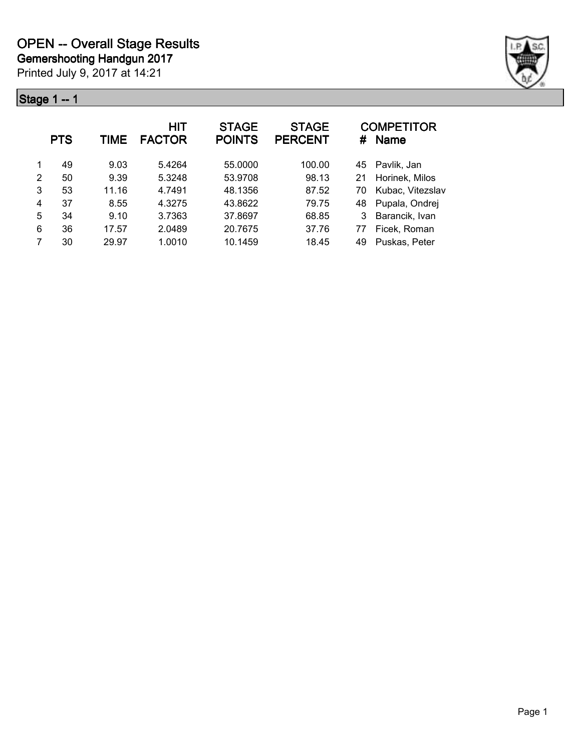

|   | <b>PTS</b> | <b>TIME</b> | HIT<br><b>FACTOR</b> | <b>STAGE</b><br><b>POINTS</b> | <b>STAGE</b><br><b>PERCENT</b> | #  | <b>COMPETITOR</b><br><b>Name</b> |
|---|------------|-------------|----------------------|-------------------------------|--------------------------------|----|----------------------------------|
| 1 | 49         | 9.03        | 5.4264               | 55.0000                       | 100.00                         | 45 | Pavlik, Jan                      |
| 2 | 50         | 9.39        | 5.3248               | 53.9708                       | 98.13                          | 21 | Horinek, Milos                   |
| 3 | 53         | 11.16       | 4.7491               | 48.1356                       | 87.52                          | 70 | Kubac, Vitezslav                 |
| 4 | 37         | 8.55        | 4.3275               | 43.8622                       | 79.75                          | 48 | Pupala, Ondrej                   |
| 5 | 34         | 9.10        | 3.7363               | 37.8697                       | 68.85                          |    | Barancik, Ivan                   |
| 6 | 36         | 17.57       | 2.0489               | 20.7675                       | 37.76                          | 77 | Ficek, Roman                     |
| 7 | 30         | 29.97       | 1.0010               | 10.1459                       | 18.45                          | 49 | Puskas, Peter                    |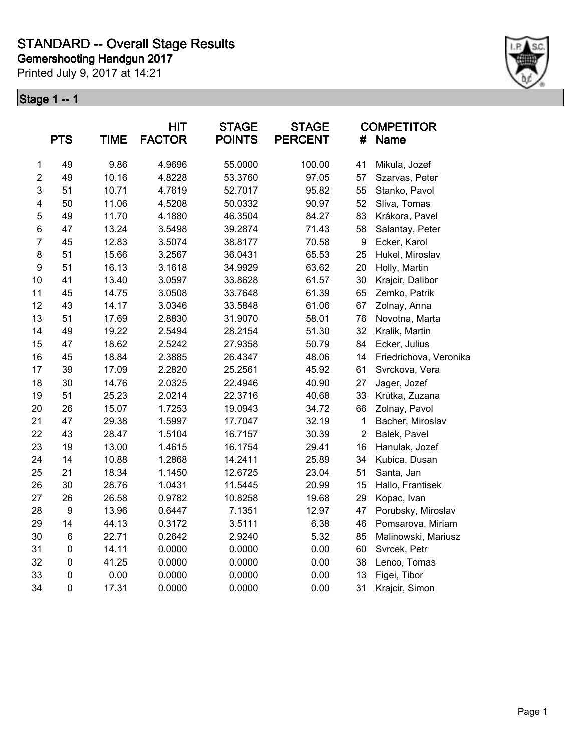Printed July 9, 2017 at 14:21



|                | <b>PTS</b>       | <b>TIME</b> | <b>HIT</b><br><b>FACTOR</b> | <b>STAGE</b><br><b>POINTS</b> | <b>STAGE</b><br><b>PERCENT</b> | #                | <b>COMPETITOR</b><br>Name |
|----------------|------------------|-------------|-----------------------------|-------------------------------|--------------------------------|------------------|---------------------------|
| $\mathbf 1$    | 49               | 9.86        | 4.9696                      | 55.0000                       | 100.00                         | 41               | Mikula, Jozef             |
| $\overline{c}$ | 49               | 10.16       | 4.8228                      | 53.3760                       | 97.05                          | 57               | Szarvas, Peter            |
| $\mathsf 3$    | 51               | 10.71       | 4.7619                      | 52.7017                       | 95.82                          | 55               | Stanko, Pavol             |
| 4              | 50               | 11.06       | 4.5208                      | 50.0332                       | 90.97                          | 52               | Sliva, Tomas              |
| 5              | 49               | 11.70       | 4.1880                      | 46.3504                       | 84.27                          | 83               | Krákora, Pavel            |
| 6              | 47               | 13.24       | 3.5498                      | 39.2874                       | 71.43                          | 58               | Salantay, Peter           |
| $\overline{7}$ | 45               | 12.83       | 3.5074                      | 38.8177                       | 70.58                          | $\boldsymbol{9}$ | Ecker, Karol              |
| 8              | 51               | 15.66       | 3.2567                      | 36.0431                       | 65.53                          | 25               | Hukel, Miroslav           |
| 9              | 51               | 16.13       | 3.1618                      | 34.9929                       | 63.62                          | 20               | Holly, Martin             |
| 10             | 41               | 13.40       | 3.0597                      | 33.8628                       | 61.57                          | 30               | Krajcir, Dalibor          |
| 11             | 45               | 14.75       | 3.0508                      | 33.7648                       | 61.39                          | 65               | Zemko, Patrik             |
| 12             | 43               | 14.17       | 3.0346                      | 33.5848                       | 61.06                          | 67               | Zolnay, Anna              |
| 13             | 51               | 17.69       | 2.8830                      | 31.9070                       | 58.01                          | 76               | Novotna, Marta            |
| 14             | 49               | 19.22       | 2.5494                      | 28.2154                       | 51.30                          | 32               | Kralik, Martin            |
| 15             | 47               | 18.62       | 2.5242                      | 27.9358                       | 50.79                          | 84               | Ecker, Julius             |
| 16             | 45               | 18.84       | 2.3885                      | 26.4347                       | 48.06                          | 14               | Friedrichova, Veronika    |
| 17             | 39               | 17.09       | 2.2820                      | 25.2561                       | 45.92                          | 61               | Svrckova, Vera            |
| 18             | 30               | 14.76       | 2.0325                      | 22.4946                       | 40.90                          | 27               | Jager, Jozef              |
| 19             | 51               | 25.23       | 2.0214                      | 22.3716                       | 40.68                          | 33               | Krútka, Zuzana            |
| 20             | 26               | 15.07       | 1.7253                      | 19.0943                       | 34.72                          | 66               | Zolnay, Pavol             |
| 21             | 47               | 29.38       | 1.5997                      | 17.7047                       | 32.19                          | $\mathbf{1}$     | Bacher, Miroslav          |
| 22             | 43               | 28.47       | 1.5104                      | 16.7157                       | 30.39                          | $\boldsymbol{2}$ | Balek, Pavel              |
| 23             | 19               | 13.00       | 1.4615                      | 16.1754                       | 29.41                          | 16               | Hanulak, Jozef            |
| 24             | 14               | 10.88       | 1.2868                      | 14.2411                       | 25.89                          | 34               | Kubica, Dusan             |
| 25             | 21               | 18.34       | 1.1450                      | 12.6725                       | 23.04                          | 51               | Santa, Jan                |
| 26             | 30               | 28.76       | 1.0431                      | 11.5445                       | 20.99                          | 15               | Hallo, Frantisek          |
| 27             | 26               | 26.58       | 0.9782                      | 10.8258                       | 19.68                          | 29               | Kopac, Ivan               |
| 28             | $\boldsymbol{9}$ | 13.96       | 0.6447                      | 7.1351                        | 12.97                          | 47               | Porubsky, Miroslav        |
| 29             | 14               | 44.13       | 0.3172                      | 3.5111                        | 6.38                           | 46               | Pomsarova, Miriam         |
| 30             | $\,6$            | 22.71       | 0.2642                      | 2.9240                        | 5.32                           | 85               | Malinowski, Mariusz       |
| 31             | $\pmb{0}$        | 14.11       | 0.0000                      | 0.0000                        | 0.00                           | 60               | Svrcek, Petr              |
| 32             | $\pmb{0}$        | 41.25       | 0.0000                      | 0.0000                        | 0.00                           | 38               | Lenco, Tomas              |
| 33             | $\pmb{0}$        | 0.00        | 0.0000                      | 0.0000                        | 0.00                           | 13               | Figei, Tibor              |
| 34             | $\mathbf 0$      | 17.31       | 0.0000                      | 0.0000                        | 0.00                           | 31               | Krajcir, Simon            |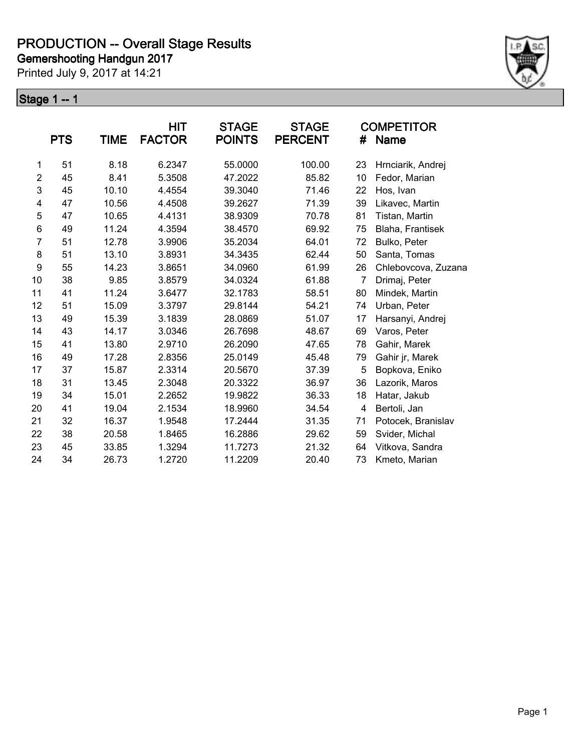Printed July 9, 2017 at 14:21



|                  | <b>PTS</b> | TIME  | <b>HIT</b><br><b>FACTOR</b> | <b>STAGE</b><br><b>POINTS</b> | <b>STAGE</b><br><b>PERCENT</b> | #  | <b>COMPETITOR</b><br>Name |
|------------------|------------|-------|-----------------------------|-------------------------------|--------------------------------|----|---------------------------|
| 1                | 51         | 8.18  | 6.2347                      | 55.0000                       | 100.00                         | 23 | Hrnciarik, Andrej         |
| $\overline{2}$   | 45         | 8.41  | 5.3508                      | 47.2022                       | 85.82                          | 10 | Fedor, Marian             |
| 3                | 45         | 10.10 | 4.4554                      | 39.3040                       | 71.46                          | 22 | Hos, Ivan                 |
| 4                | 47         | 10.56 | 4.4508                      | 39.2627                       | 71.39                          | 39 | Likavec, Martin           |
| 5                | 47         | 10.65 | 4.4131                      | 38.9309                       | 70.78                          | 81 | Tistan, Martin            |
| 6                | 49         | 11.24 | 4.3594                      | 38.4570                       | 69.92                          | 75 | Blaha, Frantisek          |
| $\overline{7}$   | 51         | 12.78 | 3.9906                      | 35.2034                       | 64.01                          | 72 | Bulko, Peter              |
| 8                | 51         | 13.10 | 3.8931                      | 34.3435                       | 62.44                          | 50 | Santa, Tomas              |
| $\boldsymbol{9}$ | 55         | 14.23 | 3.8651                      | 34.0960                       | 61.99                          | 26 | Chlebovcova, Zuzana       |
| 10               | 38         | 9.85  | 3.8579                      | 34.0324                       | 61.88                          | 7  | Drimaj, Peter             |
| 11               | 41         | 11.24 | 3.6477                      | 32.1783                       | 58.51                          | 80 | Mindek, Martin            |
| 12               | 51         | 15.09 | 3.3797                      | 29.8144                       | 54.21                          | 74 | Urban, Peter              |
| 13               | 49         | 15.39 | 3.1839                      | 28.0869                       | 51.07                          | 17 | Harsanyi, Andrej          |
| 14               | 43         | 14.17 | 3.0346                      | 26.7698                       | 48.67                          | 69 | Varos, Peter              |
| 15               | 41         | 13.80 | 2.9710                      | 26.2090                       | 47.65                          | 78 | Gahir, Marek              |
| 16               | 49         | 17.28 | 2.8356                      | 25.0149                       | 45.48                          | 79 | Gahir jr, Marek           |
| 17               | 37         | 15.87 | 2.3314                      | 20.5670                       | 37.39                          | 5  | Bopkova, Eniko            |
| 18               | 31         | 13.45 | 2.3048                      | 20.3322                       | 36.97                          | 36 | Lazorik, Maros            |
| 19               | 34         | 15.01 | 2.2652                      | 19.9822                       | 36.33                          | 18 | Hatar, Jakub              |
| 20               | 41         | 19.04 | 2.1534                      | 18.9960                       | 34.54                          | 4  | Bertoli, Jan              |
| 21               | 32         | 16.37 | 1.9548                      | 17.2444                       | 31.35                          | 71 | Potocek, Branislav        |
| 22               | 38         | 20.58 | 1.8465                      | 16.2886                       | 29.62                          | 59 | Svider, Michal            |
| 23               | 45         | 33.85 | 1.3294                      | 11.7273                       | 21.32                          | 64 | Vitkova, Sandra           |
| 24               | 34         | 26.73 | 1.2720                      | 11.2209                       | 20.40                          | 73 | Kmeto, Marian             |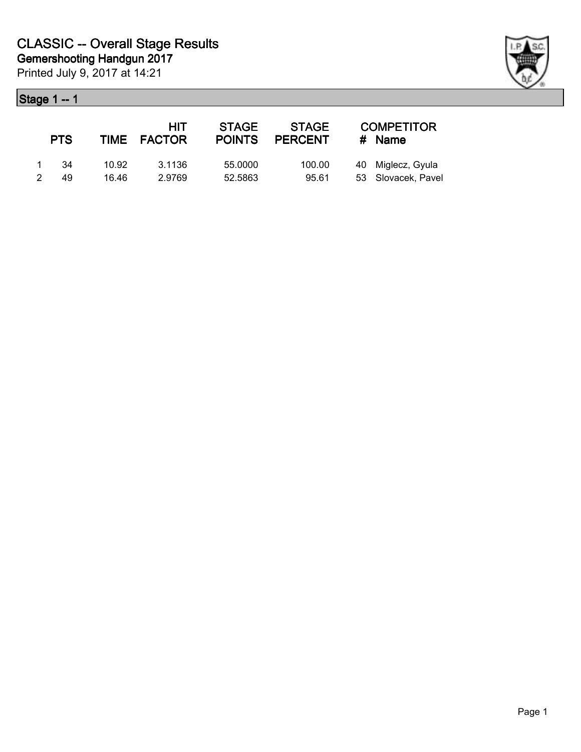

|   | <b>PTS</b> |       | HIT<br>TIME FACTOR | <b>STAGE</b><br><b>POINTS</b> | <b>STAGE</b><br><b>PERCENT</b> | <b>COMPETITOR</b><br>$#$ Name |
|---|------------|-------|--------------------|-------------------------------|--------------------------------|-------------------------------|
|   | -34        | 10.92 | 3.1136             | 55,0000                       | 100.00                         | 40 Miglecz, Gyula             |
| 2 | 49         | 16.46 | 2.9769             | 52.5863                       | 95.61                          | 53 Slovacek, Pavel            |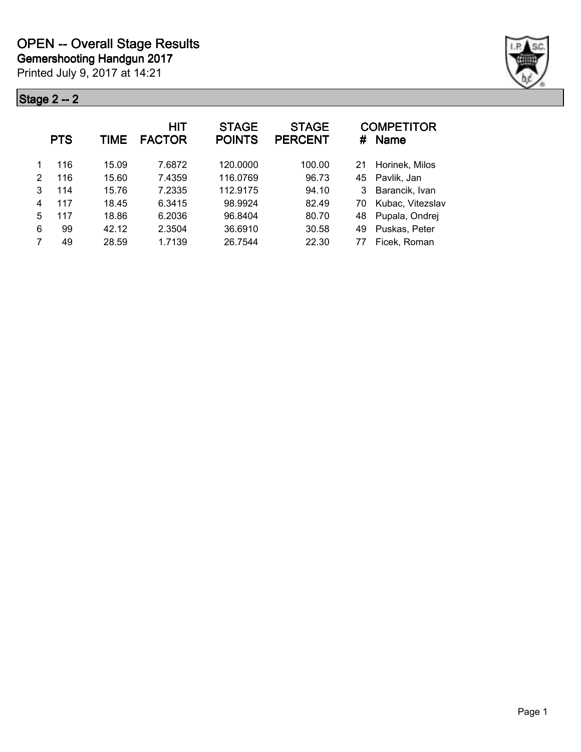

|   | <b>PTS</b> | <b>TIME</b> | HIT<br><b>FACTOR</b> | <b>STAGE</b><br><b>POINTS</b> | <b>STAGE</b><br><b>PERCENT</b> | #  | <b>COMPETITOR</b><br><b>Name</b> |
|---|------------|-------------|----------------------|-------------------------------|--------------------------------|----|----------------------------------|
|   | 116        | 15.09       | 7.6872               | 120,0000                      | 100.00                         | 21 | Horinek, Milos                   |
| 2 | 116        | 15.60       | 7.4359               | 116.0769                      | 96.73                          | 45 | Pavlik, Jan                      |
| 3 | 114        | 15.76       | 7.2335               | 112.9175                      | 94.10                          | 3  | Barancik, Ivan                   |
| 4 | 117        | 18.45       | 6.3415               | 98.9924                       | 82.49                          | 70 | Kubac, Vitezslav                 |
| 5 | 117        | 18.86       | 6.2036               | 96.8404                       | 80.70                          | 48 | Pupala, Ondrej                   |
| 6 | 99         | 42.12       | 2.3504               | 36.6910                       | 30.58                          | 49 | Puskas, Peter                    |
| 7 | 49         | 28.59       | 1.7139               | 26.7544                       | 22.30                          | 77 | Ficek, Roman                     |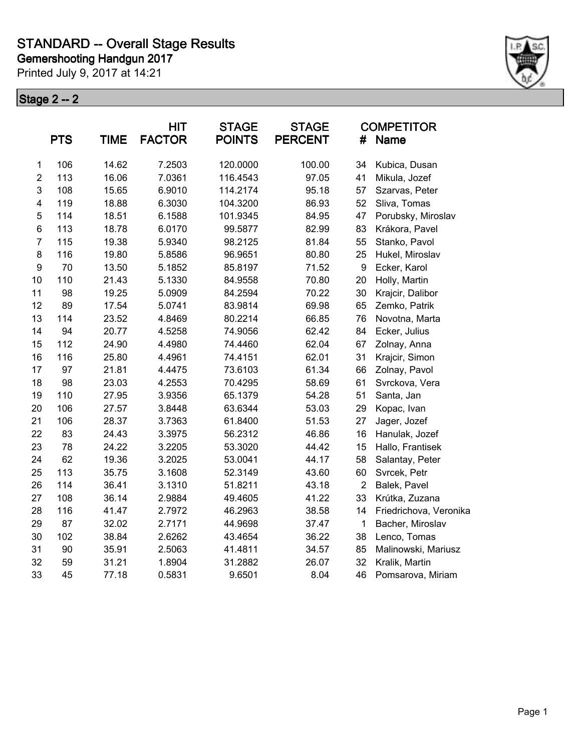Printed July 9, 2017 at 14:21



|                         | <b>PTS</b> | <b>TIME</b> | <b>HIT</b><br><b>FACTOR</b> | <b>STAGE</b><br><b>POINTS</b> | <b>STAGE</b><br><b>PERCENT</b> | #              | <b>COMPETITOR</b><br><b>Name</b> |
|-------------------------|------------|-------------|-----------------------------|-------------------------------|--------------------------------|----------------|----------------------------------|
| 1                       | 106        | 14.62       | 7.2503                      | 120.0000                      | 100.00                         | 34             | Kubica, Dusan                    |
| $\overline{2}$          | 113        | 16.06       | 7.0361                      | 116.4543                      | 97.05                          | 41             | Mikula, Jozef                    |
| 3                       | 108        | 15.65       | 6.9010                      | 114.2174                      | 95.18                          | 57             | Szarvas, Peter                   |
| $\overline{\mathbf{4}}$ | 119        | 18.88       | 6.3030                      | 104.3200                      | 86.93                          | 52             | Sliva, Tomas                     |
| $\mathbf 5$             | 114        | 18.51       | 6.1588                      | 101.9345                      | 84.95                          | 47             | Porubsky, Miroslav               |
| $\,6$                   | 113        | 18.78       | 6.0170                      | 99.5877                       | 82.99                          | 83             | Krákora, Pavel                   |
| $\overline{7}$          | 115        | 19.38       | 5.9340                      | 98.2125                       | 81.84                          | 55             | Stanko, Pavol                    |
| 8                       | 116        | 19.80       | 5.8586                      | 96.9651                       | 80.80                          | 25             | Hukel, Miroslav                  |
| $\boldsymbol{9}$        | 70         | 13.50       | 5.1852                      | 85.8197                       | 71.52                          | 9              | Ecker, Karol                     |
| 10                      | 110        | 21.43       | 5.1330                      | 84.9558                       | 70.80                          | 20             | Holly, Martin                    |
| 11                      | 98         | 19.25       | 5.0909                      | 84.2594                       | 70.22                          | 30             | Krajcir, Dalibor                 |
| 12                      | 89         | 17.54       | 5.0741                      | 83.9814                       | 69.98                          | 65             | Zemko, Patrik                    |
| 13                      | 114        | 23.52       | 4.8469                      | 80.2214                       | 66.85                          | 76             | Novotna, Marta                   |
| 14                      | 94         | 20.77       | 4.5258                      | 74.9056                       | 62.42                          | 84             | Ecker, Julius                    |
| 15                      | 112        | 24.90       | 4.4980                      | 74.4460                       | 62.04                          | 67             | Zolnay, Anna                     |
| 16                      | 116        | 25.80       | 4.4961                      | 74.4151                       | 62.01                          | 31             | Krajcir, Simon                   |
| 17                      | 97         | 21.81       | 4.4475                      | 73.6103                       | 61.34                          | 66             | Zolnay, Pavol                    |
| 18                      | 98         | 23.03       | 4.2553                      | 70.4295                       | 58.69                          | 61             | Svrckova, Vera                   |
| 19                      | 110        | 27.95       | 3.9356                      | 65.1379                       | 54.28                          | 51             | Santa, Jan                       |
| 20                      | 106        | 27.57       | 3.8448                      | 63.6344                       | 53.03                          | 29             | Kopac, Ivan                      |
| 21                      | 106        | 28.37       | 3.7363                      | 61.8400                       | 51.53                          | 27             | Jager, Jozef                     |
| 22                      | 83         | 24.43       | 3.3975                      | 56.2312                       | 46.86                          | 16             | Hanulak, Jozef                   |
| 23                      | 78         | 24.22       | 3.2205                      | 53.3020                       | 44.42                          | 15             | Hallo, Frantisek                 |
| 24                      | 62         | 19.36       | 3.2025                      | 53.0041                       | 44.17                          | 58             | Salantay, Peter                  |
| 25                      | 113        | 35.75       | 3.1608                      | 52.3149                       | 43.60                          | 60             | Svrcek, Petr                     |
| 26                      | 114        | 36.41       | 3.1310                      | 51.8211                       | 43.18                          | $\overline{2}$ | Balek, Pavel                     |
| 27                      | 108        | 36.14       | 2.9884                      | 49.4605                       | 41.22                          | 33             | Krútka, Zuzana                   |
| 28                      | 116        | 41.47       | 2.7972                      | 46.2963                       | 38.58                          | 14             | Friedrichova, Veronika           |
| 29                      | 87         | 32.02       | 2.7171                      | 44.9698                       | 37.47                          | 1              | Bacher, Miroslav                 |
| 30                      | 102        | 38.84       | 2.6262                      | 43.4654                       | 36.22                          | 38             | Lenco, Tomas                     |
| 31                      | 90         | 35.91       | 2.5063                      | 41.4811                       | 34.57                          | 85             | Malinowski, Mariusz              |
| 32                      | 59         | 31.21       | 1.8904                      | 31.2882                       | 26.07                          | 32             | Kralik, Martin                   |
| 33                      | 45         | 77.18       | 0.5831                      | 9.6501                        | 8.04                           | 46             | Pomsarova, Miriam                |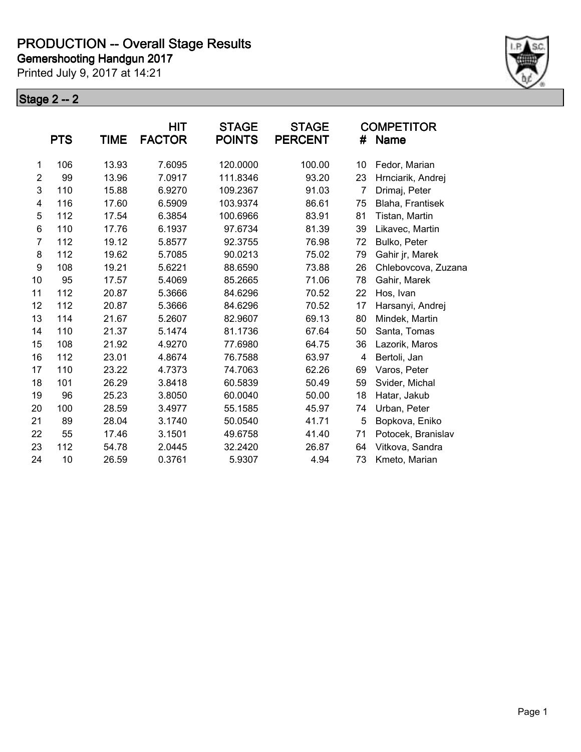Printed July 9, 2017 at 14:21



|                |            |       | <b>HIT</b>    | <b>STAGE</b>  | <b>STAGE</b>   |                | <b>COMPETITOR</b>   |
|----------------|------------|-------|---------------|---------------|----------------|----------------|---------------------|
|                | <b>PTS</b> | TIME  | <b>FACTOR</b> | <b>POINTS</b> | <b>PERCENT</b> | #              | Name                |
| 1              | 106        | 13.93 | 7.6095        | 120.0000      | 100.00         | 10             | Fedor, Marian       |
| $\overline{2}$ | 99         | 13.96 | 7.0917        | 111.8346      | 93.20          | 23             | Hrnciarik, Andrej   |
| 3              | 110        | 15.88 | 6.9270        | 109.2367      | 91.03          | $\overline{7}$ | Drimaj, Peter       |
| 4              | 116        | 17.60 | 6.5909        | 103.9374      | 86.61          | 75             | Blaha, Frantisek    |
| 5              | 112        | 17.54 | 6.3854        | 100.6966      | 83.91          | 81             | Tistan, Martin      |
| 6              | 110        | 17.76 | 6.1937        | 97.6734       | 81.39          | 39             | Likavec, Martin     |
| 7              | 112        | 19.12 | 5.8577        | 92.3755       | 76.98          | 72             | Bulko, Peter        |
| 8              | 112        | 19.62 | 5.7085        | 90.0213       | 75.02          | 79             | Gahir jr, Marek     |
| 9              | 108        | 19.21 | 5.6221        | 88.6590       | 73.88          | 26             | Chlebovcova, Zuzana |
| 10             | 95         | 17.57 | 5.4069        | 85.2665       | 71.06          | 78             | Gahir, Marek        |
| 11             | 112        | 20.87 | 5.3666        | 84.6296       | 70.52          | 22             | Hos, Ivan           |
| 12             | 112        | 20.87 | 5.3666        | 84.6296       | 70.52          | 17             | Harsanyi, Andrej    |
| 13             | 114        | 21.67 | 5.2607        | 82.9607       | 69.13          | 80             | Mindek, Martin      |
| 14             | 110        | 21.37 | 5.1474        | 81.1736       | 67.64          | 50             | Santa, Tomas        |
| 15             | 108        | 21.92 | 4.9270        | 77.6980       | 64.75          | 36             | Lazorik, Maros      |
| 16             | 112        | 23.01 | 4.8674        | 76.7588       | 63.97          | 4              | Bertoli, Jan        |
| 17             | 110        | 23.22 | 4.7373        | 74.7063       | 62.26          | 69             | Varos, Peter        |
| 18             | 101        | 26.29 | 3.8418        | 60.5839       | 50.49          | 59             | Svider, Michal      |
| 19             | 96         | 25.23 | 3.8050        | 60.0040       | 50.00          | 18             | Hatar, Jakub        |
| 20             | 100        | 28.59 | 3.4977        | 55.1585       | 45.97          | 74             | Urban, Peter        |
| 21             | 89         | 28.04 | 3.1740        | 50.0540       | 41.71          | 5              | Bopkova, Eniko      |
| 22             | 55         | 17.46 | 3.1501        | 49.6758       | 41.40          | 71             | Potocek, Branislav  |
| 23             | 112        | 54.78 | 2.0445        | 32.2420       | 26.87          | 64             | Vitkova, Sandra     |
| 24             | 10         | 26.59 | 0.3761        | 5.9307        | 4.94           | 73             | Kmeto, Marian       |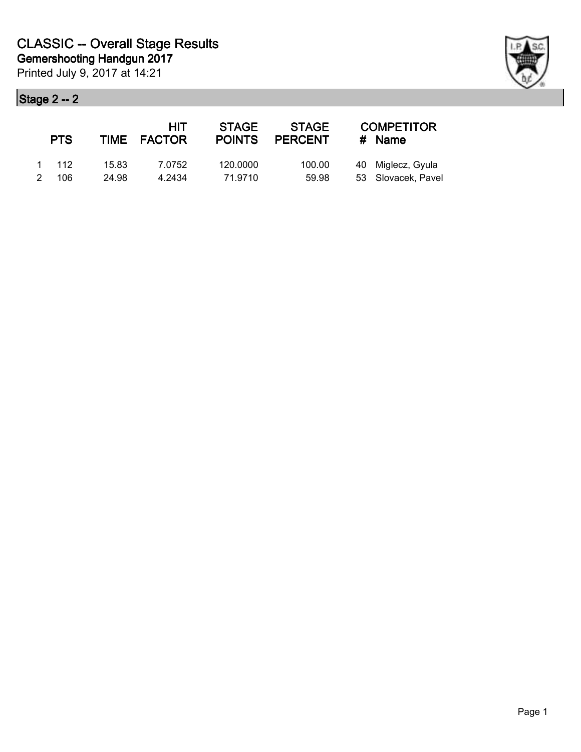| <b>PTS</b> |       | HIT<br>TIME FACTOR | <b>STAGE</b><br><b>POINTS</b> | <b>STAGE</b><br><b>PERCENT</b> | <b>COMPETITOR</b><br>$#$ Name |
|------------|-------|--------------------|-------------------------------|--------------------------------|-------------------------------|
| 1 112      | 15.83 | 7.0752             | 120.0000                      | 100.00                         | 40 Miglecz, Gyula             |
| 2 106      | 24.98 | 4.2434             | 71.9710                       | 59.98                          | 53 Slovacek, Pavel            |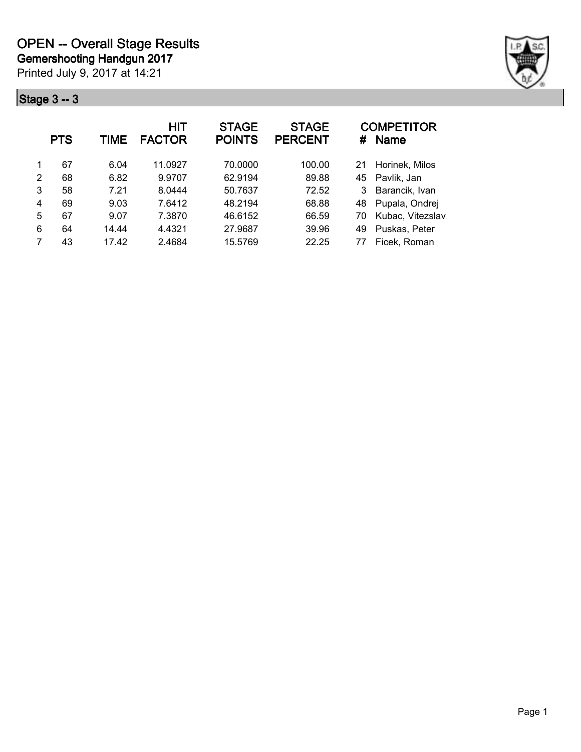

|   | <b>PTS</b> | TIME  | HIT<br><b>FACTOR</b> | <b>STAGE</b><br><b>POINTS</b> | <b>STAGE</b><br><b>PERCENT</b> | #  | <b>COMPETITOR</b><br><b>Name</b> |
|---|------------|-------|----------------------|-------------------------------|--------------------------------|----|----------------------------------|
|   | 67         | 6.04  | 11.0927              | 70.0000                       | 100.00                         | 21 | Horinek, Milos                   |
| 2 | 68         | 6.82  | 9.9707               | 62.9194                       | 89.88                          | 45 | Pavlik, Jan                      |
| 3 | 58         | 7.21  | 8.0444               | 50.7637                       | 72.52                          | 3  | Barancik, Ivan                   |
| 4 | 69         | 9.03  | 7.6412               | 48.2194                       | 68.88                          | 48 | Pupala, Ondrej                   |
| 5 | 67         | 9.07  | 7.3870               | 46.6152                       | 66.59                          | 70 | Kubac, Vitezslav                 |
| 6 | 64         | 14.44 | 4.4321               | 27.9687                       | 39.96                          | 49 | Puskas, Peter                    |
| 7 | 43         | 17.42 | 2.4684               | 15.5769                       | 22.25                          | 77 | Ficek, Roman                     |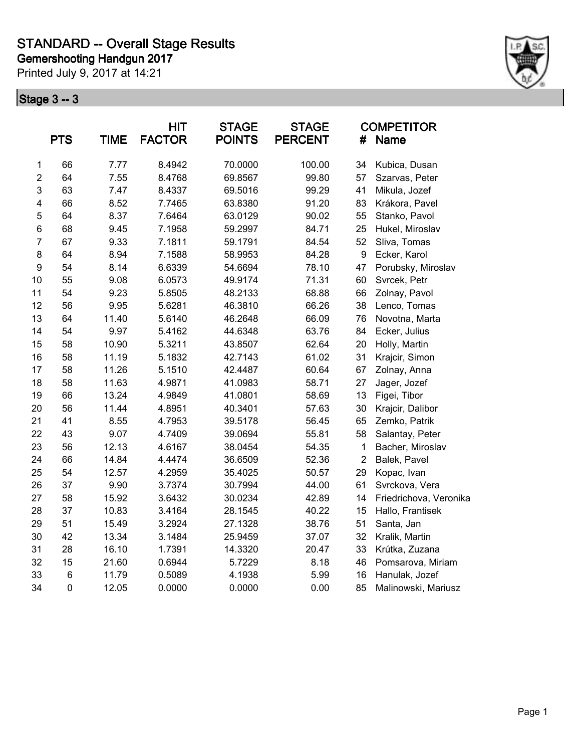Printed July 9, 2017 at 14:21



|                  | <b>PTS</b>          | <b>TIME</b> | HIT<br><b>FACTOR</b> | <b>STAGE</b><br><b>POINTS</b> | <b>STAGE</b><br><b>PERCENT</b> | #                | <b>COMPETITOR</b><br>Name |
|------------------|---------------------|-------------|----------------------|-------------------------------|--------------------------------|------------------|---------------------------|
| 1                | 66                  | 7.77        | 8.4942               | 70.0000                       | 100.00                         | 34               | Kubica, Dusan             |
| $\overline{2}$   | 64                  | 7.55        | 8.4768               | 69.8567                       | 99.80                          | 57               | Szarvas, Peter            |
| 3                | 63                  | 7.47        | 8.4337               | 69.5016                       | 99.29                          | 41               | Mikula, Jozef             |
| 4                | 66                  | 8.52        | 7.7465               | 63.8380                       | 91.20                          | 83               | Krákora, Pavel            |
| 5                | 64                  | 8.37        | 7.6464               | 63.0129                       | 90.02                          | 55               | Stanko, Pavol             |
| $\,6$            | 68                  | 9.45        | 7.1958               | 59.2997                       | 84.71                          | 25               | Hukel, Miroslav           |
| $\overline{7}$   | 67                  | 9.33        | 7.1811               | 59.1791                       | 84.54                          | 52               | Sliva, Tomas              |
| 8                | 64                  | 8.94        | 7.1588               | 58.9953                       | 84.28                          | $\boldsymbol{9}$ | Ecker, Karol              |
| $\boldsymbol{9}$ | 54                  | 8.14        | 6.6339               | 54.6694                       | 78.10                          | 47               | Porubsky, Miroslav        |
| 10               | 55                  | 9.08        | 6.0573               | 49.9174                       | 71.31                          | 60               | Svrcek, Petr              |
| 11               | 54                  | 9.23        | 5.8505               | 48.2133                       | 68.88                          | 66               | Zolnay, Pavol             |
| 12               | 56                  | 9.95        | 5.6281               | 46.3810                       | 66.26                          | 38               | Lenco, Tomas              |
| 13               | 64                  | 11.40       | 5.6140               | 46.2648                       | 66.09                          | 76               | Novotna, Marta            |
| 14               | 54                  | 9.97        | 5.4162               | 44.6348                       | 63.76                          | 84               | Ecker, Julius             |
| 15               | 58                  | 10.90       | 5.3211               | 43.8507                       | 62.64                          | 20               | Holly, Martin             |
| 16               | 58                  | 11.19       | 5.1832               | 42.7143                       | 61.02                          | 31               | Krajcir, Simon            |
| 17               | 58                  | 11.26       | 5.1510               | 42.4487                       | 60.64                          | 67               | Zolnay, Anna              |
| 18               | 58                  | 11.63       | 4.9871               | 41.0983                       | 58.71                          | 27               | Jager, Jozef              |
| 19               | 66                  | 13.24       | 4.9849               | 41.0801                       | 58.69                          | 13               | Figei, Tibor              |
| 20               | 56                  | 11.44       | 4.8951               | 40.3401                       | 57.63                          | 30               | Krajcir, Dalibor          |
| 21               | 41                  | 8.55        | 4.7953               | 39.5178                       | 56.45                          | 65               | Zemko, Patrik             |
| 22               | 43                  | 9.07        | 4.7409               | 39.0694                       | 55.81                          | 58               | Salantay, Peter           |
| 23               | 56                  | 12.13       | 4.6167               | 38.0454                       | 54.35                          | $\mathbf 1$      | Bacher, Miroslav          |
| 24               | 66                  | 14.84       | 4.4474               | 36.6509                       | 52.36                          | $\overline{2}$   | Balek, Pavel              |
| 25               | 54                  | 12.57       | 4.2959               | 35.4025                       | 50.57                          | 29               | Kopac, Ivan               |
| 26               | 37                  | 9.90        | 3.7374               | 30.7994                       | 44.00                          | 61               | Svrckova, Vera            |
| 27               | 58                  | 15.92       | 3.6432               | 30.0234                       | 42.89                          | 14               | Friedrichova, Veronika    |
| 28               | 37                  | 10.83       | 3.4164               | 28.1545                       | 40.22                          | 15               | Hallo, Frantisek          |
| 29               | 51                  | 15.49       | 3.2924               | 27.1328                       | 38.76                          | 51               | Santa, Jan                |
| 30               | 42                  | 13.34       | 3.1484               | 25.9459                       | 37.07                          | 32               | Kralik, Martin            |
| 31               | 28                  | 16.10       | 1.7391               | 14.3320                       | 20.47                          | 33               | Krútka, Zuzana            |
| 32               | 15                  | 21.60       | 0.6944               | 5.7229                        | 8.18                           | 46               | Pomsarova, Miriam         |
| 33               | $\,6$               | 11.79       | 0.5089               | 4.1938                        | 5.99                           | 16               | Hanulak, Jozef            |
| 34               | $\mathsf{O}\xspace$ | 12.05       | 0.0000               | 0.0000                        | 0.00                           | 85               | Malinowski, Mariusz       |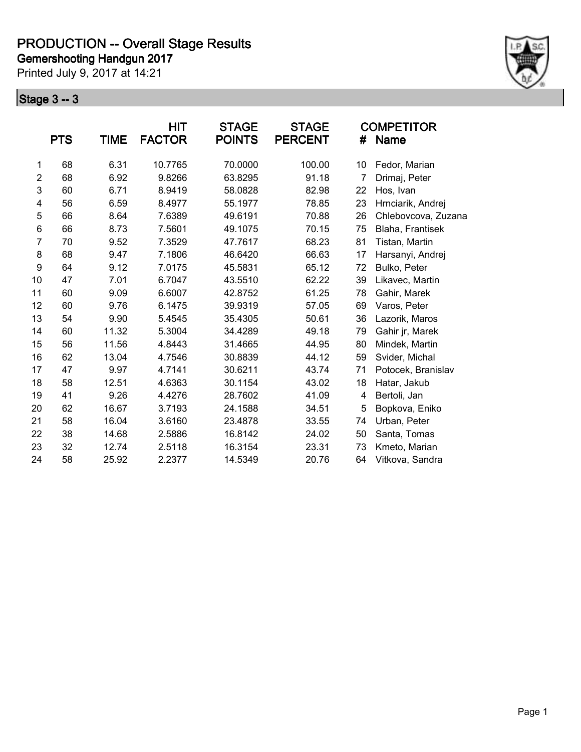Printed July 9, 2017 at 14:21



|                | <b>PTS</b> | TIME  | <b>HIT</b><br><b>FACTOR</b> | <b>STAGE</b><br><b>POINTS</b> | <b>STAGE</b><br><b>PERCENT</b> | #  | <b>COMPETITOR</b><br>Name |
|----------------|------------|-------|-----------------------------|-------------------------------|--------------------------------|----|---------------------------|
|                |            |       |                             |                               |                                |    |                           |
| 1              | 68         | 6.31  | 10.7765                     | 70.0000                       | 100.00                         | 10 | Fedor, Marian             |
| $\overline{2}$ | 68         | 6.92  | 9.8266                      | 63.8295                       | 91.18                          | 7  | Drimaj, Peter             |
| 3              | 60         | 6.71  | 8.9419                      | 58.0828                       | 82.98                          | 22 | Hos, Ivan                 |
| 4              | 56         | 6.59  | 8.4977                      | 55.1977                       | 78.85                          | 23 | Hrnciarik, Andrej         |
| 5              | 66         | 8.64  | 7.6389                      | 49.6191                       | 70.88                          | 26 | Chlebovcova, Zuzana       |
| 6              | 66         | 8.73  | 7.5601                      | 49.1075                       | 70.15                          | 75 | Blaha, Frantisek          |
| $\overline{7}$ | 70         | 9.52  | 7.3529                      | 47.7617                       | 68.23                          | 81 | Tistan, Martin            |
| 8              | 68         | 9.47  | 7.1806                      | 46.6420                       | 66.63                          | 17 | Harsanyi, Andrej          |
| 9              | 64         | 9.12  | 7.0175                      | 45.5831                       | 65.12                          | 72 | Bulko, Peter              |
| 10             | 47         | 7.01  | 6.7047                      | 43.5510                       | 62.22                          | 39 | Likavec, Martin           |
| 11             | 60         | 9.09  | 6.6007                      | 42.8752                       | 61.25                          | 78 | Gahir, Marek              |
| 12             | 60         | 9.76  | 6.1475                      | 39.9319                       | 57.05                          | 69 | Varos, Peter              |
| 13             | 54         | 9.90  | 5.4545                      | 35.4305                       | 50.61                          | 36 | Lazorik, Maros            |
| 14             | 60         | 11.32 | 5.3004                      | 34.4289                       | 49.18                          | 79 | Gahir jr, Marek           |
| 15             | 56         | 11.56 | 4.8443                      | 31.4665                       | 44.95                          | 80 | Mindek, Martin            |
| 16             | 62         | 13.04 | 4.7546                      | 30.8839                       | 44.12                          | 59 | Svider, Michal            |
| 17             | 47         | 9.97  | 4.7141                      | 30.6211                       | 43.74                          | 71 | Potocek, Branislav        |
| 18             | 58         | 12.51 | 4.6363                      | 30.1154                       | 43.02                          | 18 | Hatar, Jakub              |
| 19             | 41         | 9.26  | 4.4276                      | 28.7602                       | 41.09                          | 4  | Bertoli, Jan              |
| 20             | 62         | 16.67 | 3.7193                      | 24.1588                       | 34.51                          | 5  | Bopkova, Eniko            |
| 21             | 58         | 16.04 | 3.6160                      | 23.4878                       | 33.55                          | 74 | Urban, Peter              |
| 22             | 38         | 14.68 | 2.5886                      | 16.8142                       | 24.02                          | 50 | Santa, Tomas              |
| 23             | 32         | 12.74 | 2.5118                      | 16.3154                       | 23.31                          | 73 | Kmeto, Marian             |
| 24             | 58         | 25.92 | 2.2377                      | 14.5349                       | 20.76                          | 64 | Vitkova, Sandra           |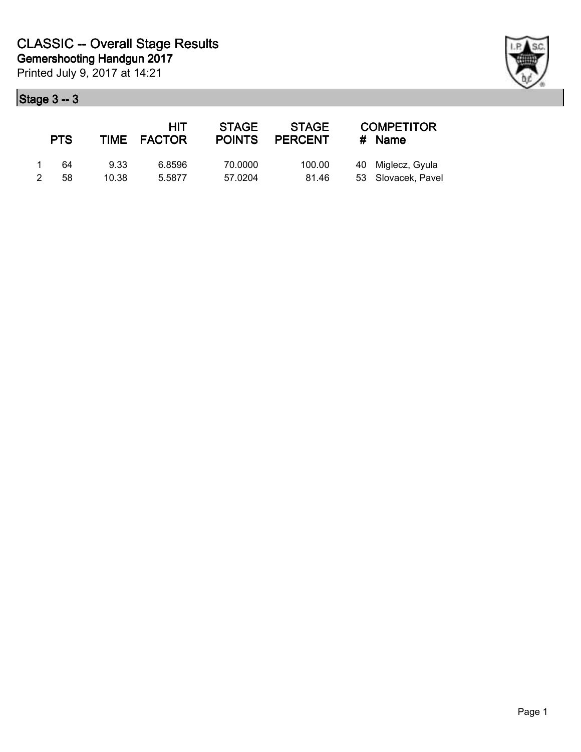| <b>PTS</b> |       | HIT<br>TIME FACTOR | <b>STAGE</b><br><b>POINTS</b> | <b>STAGE</b><br><b>PERCENT</b> | <b>COMPETITOR</b><br>$#$ Name |
|------------|-------|--------------------|-------------------------------|--------------------------------|-------------------------------|
| 64         | 9.33  | 6.8596             | 70.0000                       | 100.00                         | 40 Miglecz, Gyula             |
| 58         | 10.38 | 5.5877             | 57.0204                       | 81.46                          | 53 Slovacek, Pavel            |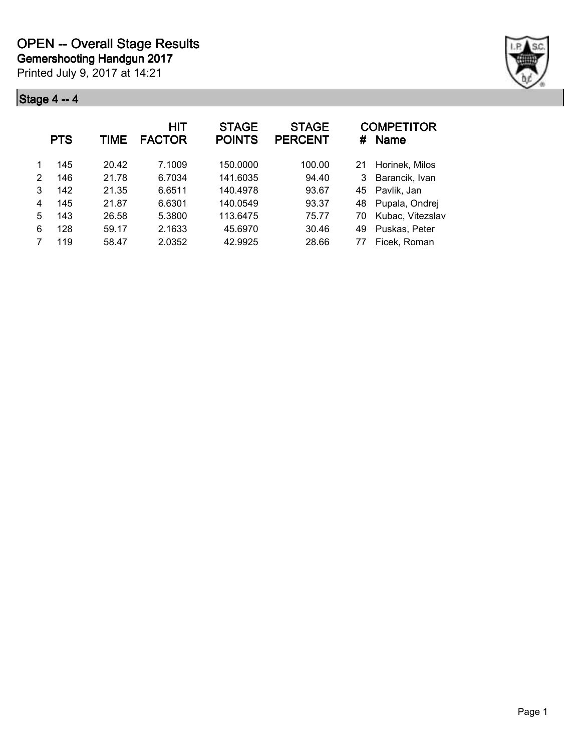

|   | <b>PTS</b> | TIME  | <b>HIT</b><br><b>FACTOR</b> | <b>STAGE</b><br><b>POINTS</b> | <b>STAGE</b><br><b>PERCENT</b> | #  | <b>COMPETITOR</b><br><b>Name</b> |
|---|------------|-------|-----------------------------|-------------------------------|--------------------------------|----|----------------------------------|
|   | 145        | 20.42 | 7.1009                      | 150.0000                      | 100.00                         | 21 | Horinek, Milos                   |
| 2 | 146        | 21.78 | 6.7034                      | 141.6035                      | 94.40                          | 3  | Barancik, Ivan                   |
| 3 | 142        | 21.35 | 6.6511                      | 140.4978                      | 93.67                          | 45 | Pavlik, Jan                      |
| 4 | 145        | 21.87 | 6.6301                      | 140.0549                      | 93.37                          | 48 | Pupala, Ondrej                   |
| 5 | 143        | 26.58 | 5.3800                      | 113.6475                      | 75.77                          | 70 | Kubac, Vitezslav                 |
| 6 | 128        | 59.17 | 2.1633                      | 45.6970                       | 30.46                          | 49 | Puskas, Peter                    |
|   | 119        | 58.47 | 2.0352                      | 42.9925                       | 28.66                          | 77 | Ficek, Roman                     |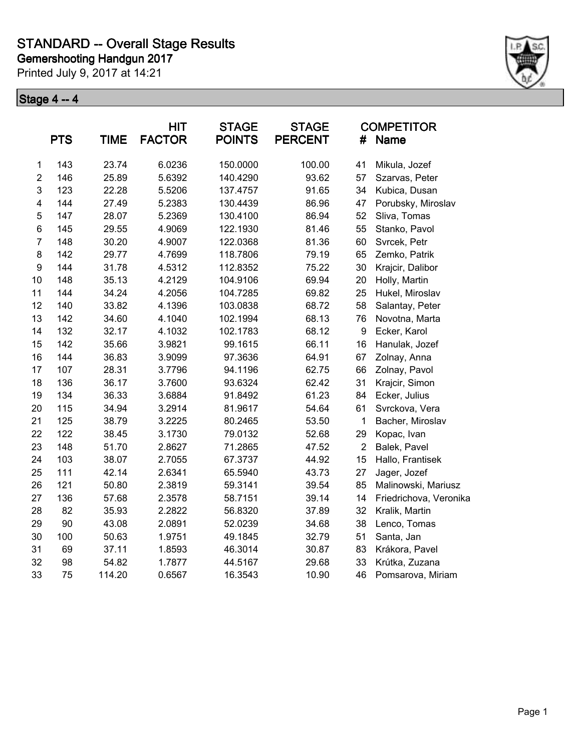Printed July 9, 2017 at 14:21



|                         | <b>PTS</b> | <b>TIME</b> | <b>HIT</b><br><b>FACTOR</b> | <b>STAGE</b><br><b>POINTS</b> | <b>STAGE</b><br><b>PERCENT</b> | #              | <b>COMPETITOR</b><br>Name |
|-------------------------|------------|-------------|-----------------------------|-------------------------------|--------------------------------|----------------|---------------------------|
| 1                       | 143        | 23.74       | 6.0236                      | 150.0000                      | 100.00                         | 41             | Mikula, Jozef             |
| $\overline{2}$          | 146        | 25.89       | 5.6392                      | 140.4290                      | 93.62                          | 57             | Szarvas, Peter            |
| 3                       | 123        | 22.28       | 5.5206                      | 137.4757                      | 91.65                          | 34             | Kubica, Dusan             |
| $\overline{\mathbf{4}}$ | 144        | 27.49       | 5.2383                      | 130.4439                      | 86.96                          | 47             | Porubsky, Miroslav        |
| 5                       | 147        | 28.07       | 5.2369                      | 130.4100                      | 86.94                          | 52             | Sliva, Tomas              |
| 6                       | 145        | 29.55       | 4.9069                      | 122.1930                      | 81.46                          | 55             | Stanko, Pavol             |
| $\overline{7}$          | 148        | 30.20       | 4.9007                      | 122.0368                      | 81.36                          | 60             | Svrcek, Petr              |
| 8                       | 142        | 29.77       | 4.7699                      | 118.7806                      | 79.19                          | 65             | Zemko, Patrik             |
| 9                       | 144        | 31.78       | 4.5312                      | 112.8352                      | 75.22                          | 30             | Krajcir, Dalibor          |
| 10                      | 148        | 35.13       | 4.2129                      | 104.9106                      | 69.94                          | 20             | Holly, Martin             |
| 11                      | 144        | 34.24       | 4.2056                      | 104.7285                      | 69.82                          | 25             | Hukel, Miroslav           |
| 12                      | 140        | 33.82       | 4.1396                      | 103.0838                      | 68.72                          | 58             | Salantay, Peter           |
| 13                      | 142        | 34.60       | 4.1040                      | 102.1994                      | 68.13                          | 76             | Novotna, Marta            |
| 14                      | 132        | 32.17       | 4.1032                      | 102.1783                      | 68.12                          | 9              | Ecker, Karol              |
| 15                      | 142        | 35.66       | 3.9821                      | 99.1615                       | 66.11                          | 16             | Hanulak, Jozef            |
| 16                      | 144        | 36.83       | 3.9099                      | 97.3636                       | 64.91                          | 67             | Zolnay, Anna              |
| 17                      | 107        | 28.31       | 3.7796                      | 94.1196                       | 62.75                          | 66             | Zolnay, Pavol             |
| 18                      | 136        | 36.17       | 3.7600                      | 93.6324                       | 62.42                          | 31             | Krajcir, Simon            |
| 19                      | 134        | 36.33       | 3.6884                      | 91.8492                       | 61.23                          | 84             | Ecker, Julius             |
| 20                      | 115        | 34.94       | 3.2914                      | 81.9617                       | 54.64                          | 61             | Svrckova, Vera            |
| 21                      | 125        | 38.79       | 3.2225                      | 80.2465                       | 53.50                          | 1              | Bacher, Miroslav          |
| 22                      | 122        | 38.45       | 3.1730                      | 79.0132                       | 52.68                          | 29             | Kopac, Ivan               |
| 23                      | 148        | 51.70       | 2.8627                      | 71.2865                       | 47.52                          | $\overline{2}$ | Balek, Pavel              |
| 24                      | 103        | 38.07       | 2.7055                      | 67.3737                       | 44.92                          | 15             | Hallo, Frantisek          |
| 25                      | 111        | 42.14       | 2.6341                      | 65.5940                       | 43.73                          | 27             | Jager, Jozef              |
| 26                      | 121        | 50.80       | 2.3819                      | 59.3141                       | 39.54                          | 85             | Malinowski, Mariusz       |
| 27                      | 136        | 57.68       | 2.3578                      | 58.7151                       | 39.14                          | 14             | Friedrichova, Veronika    |
| 28                      | 82         | 35.93       | 2.2822                      | 56.8320                       | 37.89                          | 32             | Kralik, Martin            |
| 29                      | 90         | 43.08       | 2.0891                      | 52.0239                       | 34.68                          | 38             | Lenco, Tomas              |
| 30                      | 100        | 50.63       | 1.9751                      | 49.1845                       | 32.79                          | 51             | Santa, Jan                |
| 31                      | 69         | 37.11       | 1.8593                      | 46.3014                       | 30.87                          | 83             | Krákora, Pavel            |
| 32                      | 98         | 54.82       | 1.7877                      | 44.5167                       | 29.68                          | 33             | Krútka, Zuzana            |
| 33                      | 75         | 114.20      | 0.6567                      | 16.3543                       | 10.90                          | 46             | Pomsarova, Miriam         |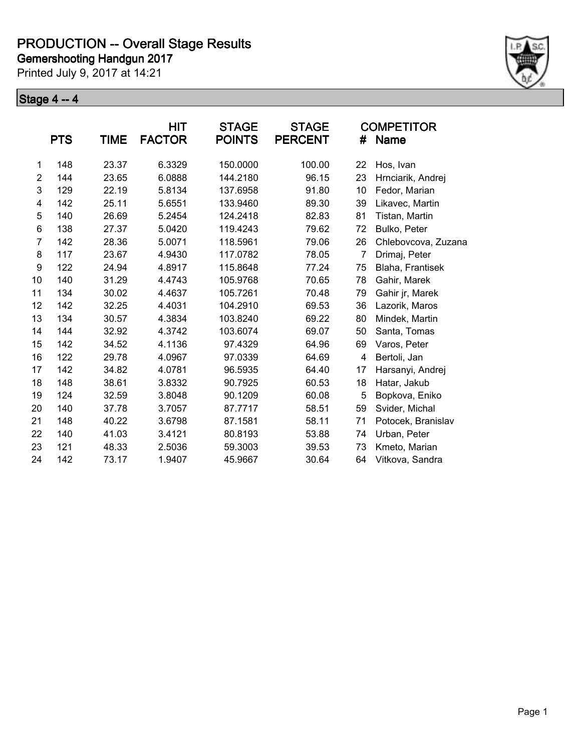Printed July 9, 2017 at 14:21



|                | <b>PTS</b> | <b>TIME</b> | HIT<br><b>FACTOR</b> | <b>STAGE</b><br><b>POINTS</b> | <b>STAGE</b><br><b>PERCENT</b> | #  | <b>COMPETITOR</b><br><b>Name</b> |
|----------------|------------|-------------|----------------------|-------------------------------|--------------------------------|----|----------------------------------|
|                | 148        | 23.37       | 6.3329               | 150.0000                      | 100.00                         | 22 |                                  |
| 1              |            |             |                      |                               |                                |    | Hos, Ivan                        |
| $\overline{c}$ | 144        | 23.65       | 6.0888               | 144.2180                      | 96.15                          | 23 | Hrnciarik, Andrej                |
| 3              | 129        | 22.19       | 5.8134               | 137.6958                      | 91.80                          | 10 | Fedor, Marian                    |
| 4              | 142        | 25.11       | 5.6551               | 133.9460                      | 89.30                          | 39 | Likavec, Martin                  |
| 5              | 140        | 26.69       | 5.2454               | 124.2418                      | 82.83                          | 81 | Tistan, Martin                   |
| 6              | 138        | 27.37       | 5.0420               | 119.4243                      | 79.62                          | 72 | Bulko, Peter                     |
| $\overline{7}$ | 142        | 28.36       | 5.0071               | 118.5961                      | 79.06                          | 26 | Chlebovcova, Zuzana              |
| 8              | 117        | 23.67       | 4.9430               | 117.0782                      | 78.05                          | 7  | Drimaj, Peter                    |
| 9              | 122        | 24.94       | 4.8917               | 115.8648                      | 77.24                          | 75 | Blaha, Frantisek                 |
| 10             | 140        | 31.29       | 4.4743               | 105.9768                      | 70.65                          | 78 | Gahir, Marek                     |
| 11             | 134        | 30.02       | 4.4637               | 105.7261                      | 70.48                          | 79 | Gahir jr, Marek                  |
| 12             | 142        | 32.25       | 4.4031               | 104.2910                      | 69.53                          | 36 | Lazorik, Maros                   |
| 13             | 134        | 30.57       | 4.3834               | 103.8240                      | 69.22                          | 80 | Mindek, Martin                   |
| 14             | 144        | 32.92       | 4.3742               | 103.6074                      | 69.07                          | 50 | Santa, Tomas                     |
| 15             | 142        | 34.52       | 4.1136               | 97.4329                       | 64.96                          | 69 | Varos, Peter                     |
| 16             | 122        | 29.78       | 4.0967               | 97.0339                       | 64.69                          | 4  | Bertoli, Jan                     |
| 17             | 142        | 34.82       | 4.0781               | 96.5935                       | 64.40                          | 17 | Harsanyi, Andrej                 |
| 18             | 148        | 38.61       | 3.8332               | 90.7925                       | 60.53                          | 18 | Hatar, Jakub                     |
| 19             | 124        | 32.59       | 3.8048               | 90.1209                       | 60.08                          | 5  | Bopkova, Eniko                   |
| 20             | 140        | 37.78       | 3.7057               | 87.7717                       | 58.51                          | 59 | Svider, Michal                   |
| 21             | 148        | 40.22       | 3.6798               | 87.1581                       | 58.11                          | 71 | Potocek, Branislav               |
| 22             | 140        | 41.03       | 3.4121               | 80.8193                       | 53.88                          | 74 | Urban, Peter                     |
| 23             | 121        | 48.33       | 2.5036               | 59.3003                       | 39.53                          | 73 | Kmeto, Marian                    |
| 24             | 142        | 73.17       | 1.9407               | 45.9667                       | 30.64                          | 64 | Vitkova, Sandra                  |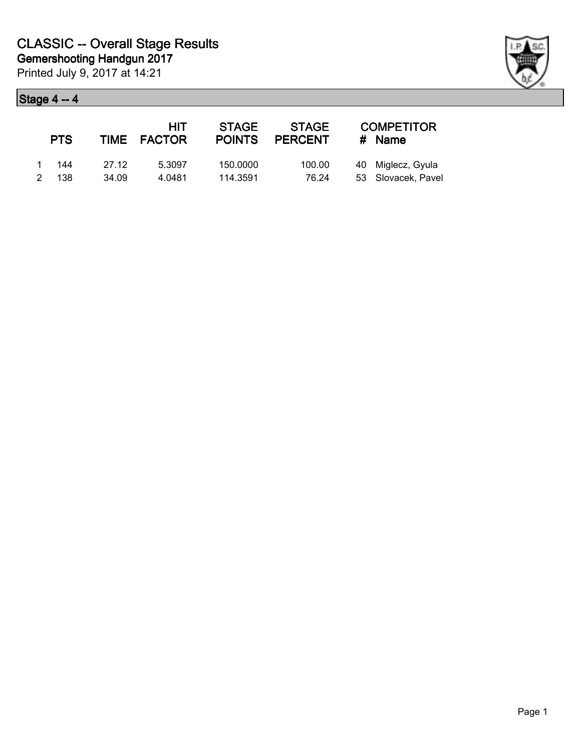| <b>PTS</b> |       | HIT<br>TIME FACTOR | <b>STAGE</b><br><b>POINTS</b> | <b>STAGE</b><br><b>PERCENT</b> | <b>COMPETITOR</b><br># Name |
|------------|-------|--------------------|-------------------------------|--------------------------------|-----------------------------|
| - 144      | 27.12 | 5.3097             | 150.0000                      | 100.00                         | 40 Miglecz, Gyula           |
| 2 138      | 34.09 | 4.0481             | 114.3591                      | 76.24                          | 53 Slovacek, Pavel          |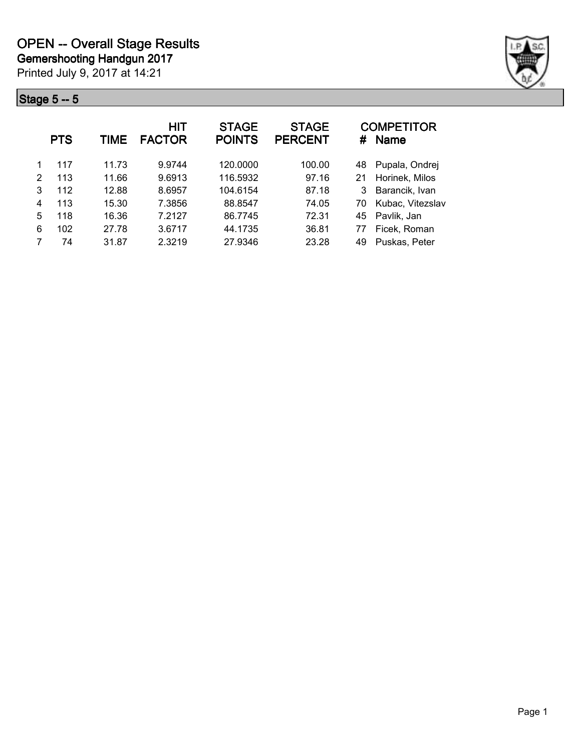

|   | <b>PTS</b> | <b>TIME</b> | <b>HIT</b><br><b>FACTOR</b> | <b>STAGE</b><br><b>POINTS</b> | <b>STAGE</b><br><b>PERCENT</b> | #  | <b>COMPETITOR</b><br><b>Name</b> |
|---|------------|-------------|-----------------------------|-------------------------------|--------------------------------|----|----------------------------------|
|   | 117        | 11.73       | 9.9744                      | 120.0000                      | 100.00                         | 48 | Pupala, Ondrej                   |
| 2 | 113        | 11.66       | 9.6913                      | 116.5932                      | 97.16                          | 21 | Horinek, Milos                   |
| 3 | 112        | 12.88       | 8.6957                      | 104.6154                      | 87.18                          | 3  | Barancik, Ivan                   |
| 4 | 113        | 15.30       | 7.3856                      | 88.8547                       | 74.05                          | 70 | Kubac, Vitezslav                 |
| 5 | 118        | 16.36       | 7.2127                      | 86.7745                       | 72.31                          | 45 | Pavlik, Jan                      |
| 6 | 102        | 27.78       | 3.6717                      | 44.1735                       | 36.81                          | 77 | Ficek, Roman                     |
|   | 74         | 31.87       | 2.3219                      | 27.9346                       | 23.28                          | 49 | Puskas, Peter                    |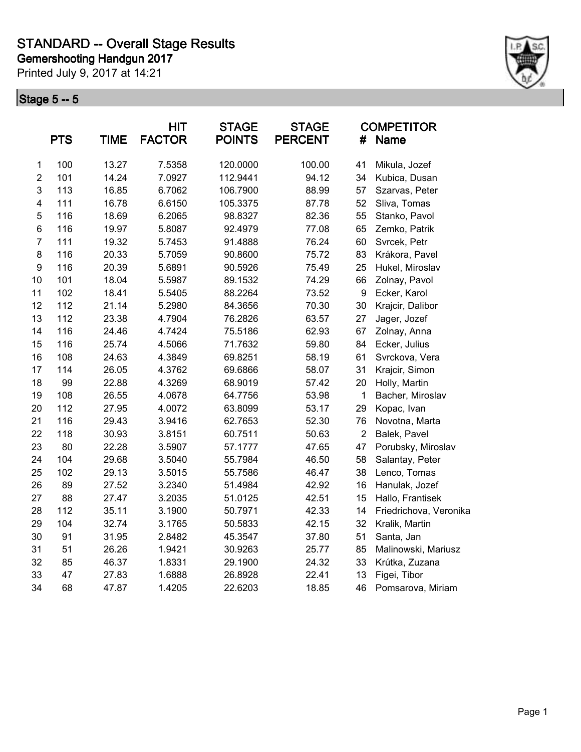Printed July 9, 2017 at 14:21



|                         | <b>PTS</b> | <b>TIME</b> | <b>HIT</b><br><b>FACTOR</b> | <b>STAGE</b><br><b>POINTS</b> | <b>STAGE</b><br><b>PERCENT</b> | #              | <b>COMPETITOR</b><br>Name |
|-------------------------|------------|-------------|-----------------------------|-------------------------------|--------------------------------|----------------|---------------------------|
| 1                       | 100        | 13.27       | 7.5358                      | 120.0000                      | 100.00                         | 41             | Mikula, Jozef             |
| $\overline{2}$          | 101        | 14.24       | 7.0927                      | 112.9441                      | 94.12                          | 34             | Kubica, Dusan             |
| 3                       | 113        | 16.85       | 6.7062                      | 106.7900                      | 88.99                          | 57             | Szarvas, Peter            |
| $\overline{\mathbf{4}}$ | 111        | 16.78       | 6.6150                      | 105.3375                      | 87.78                          | 52             | Sliva, Tomas              |
| 5                       | 116        | 18.69       | 6.2065                      | 98.8327                       | 82.36                          | 55             | Stanko, Pavol             |
| 6                       | 116        | 19.97       | 5.8087                      | 92.4979                       | 77.08                          | 65             | Zemko, Patrik             |
| $\overline{7}$          | 111        | 19.32       | 5.7453                      | 91.4888                       | 76.24                          | 60             | Svrcek, Petr              |
| 8                       | 116        | 20.33       | 5.7059                      | 90.8600                       | 75.72                          | 83             | Krákora, Pavel            |
| $\boldsymbol{9}$        | 116        | 20.39       | 5.6891                      | 90.5926                       | 75.49                          | 25             | Hukel, Miroslav           |
| 10                      | 101        | 18.04       | 5.5987                      | 89.1532                       | 74.29                          | 66             | Zolnay, Pavol             |
| 11                      | 102        | 18.41       | 5.5405                      | 88.2264                       | 73.52                          | 9              | Ecker, Karol              |
| 12                      | 112        | 21.14       | 5.2980                      | 84.3656                       | 70.30                          | 30             | Krajcir, Dalibor          |
| 13                      | 112        | 23.38       | 4.7904                      | 76.2826                       | 63.57                          | 27             | Jager, Jozef              |
| 14                      | 116        | 24.46       | 4.7424                      | 75.5186                       | 62.93                          | 67             | Zolnay, Anna              |
| 15                      | 116        | 25.74       | 4.5066                      | 71.7632                       | 59.80                          | 84             | Ecker, Julius             |
| 16                      | 108        | 24.63       | 4.3849                      | 69.8251                       | 58.19                          | 61             | Svrckova, Vera            |
| 17                      | 114        | 26.05       | 4.3762                      | 69.6866                       | 58.07                          | 31             | Krajcir, Simon            |
| 18                      | 99         | 22.88       | 4.3269                      | 68.9019                       | 57.42                          | 20             | Holly, Martin             |
| 19                      | 108        | 26.55       | 4.0678                      | 64.7756                       | 53.98                          | $\mathbf 1$    | Bacher, Miroslav          |
| 20                      | 112        | 27.95       | 4.0072                      | 63.8099                       | 53.17                          | 29             | Kopac, Ivan               |
| 21                      | 116        | 29.43       | 3.9416                      | 62.7653                       | 52.30                          | 76             | Novotna, Marta            |
| 22                      | 118        | 30.93       | 3.8151                      | 60.7511                       | 50.63                          | $\overline{2}$ | Balek, Pavel              |
| 23                      | 80         | 22.28       | 3.5907                      | 57.1777                       | 47.65                          | 47             | Porubsky, Miroslav        |
| 24                      | 104        | 29.68       | 3.5040                      | 55.7984                       | 46.50                          | 58             | Salantay, Peter           |
| 25                      | 102        | 29.13       | 3.5015                      | 55.7586                       | 46.47                          | 38             | Lenco, Tomas              |
| 26                      | 89         | 27.52       | 3.2340                      | 51.4984                       | 42.92                          | 16             | Hanulak, Jozef            |
| 27                      | 88         | 27.47       | 3.2035                      | 51.0125                       | 42.51                          | 15             | Hallo, Frantisek          |
| 28                      | 112        | 35.11       | 3.1900                      | 50.7971                       | 42.33                          | 14             | Friedrichova, Veronika    |
| 29                      | 104        | 32.74       | 3.1765                      | 50.5833                       | 42.15                          | 32             | Kralik, Martin            |
| 30                      | 91         | 31.95       | 2.8482                      | 45.3547                       | 37.80                          | 51             | Santa, Jan                |
| 31                      | 51         | 26.26       | 1.9421                      | 30.9263                       | 25.77                          | 85             | Malinowski, Mariusz       |
| 32                      | 85         | 46.37       | 1.8331                      | 29.1900                       | 24.32                          | 33             | Krútka, Zuzana            |
| 33                      | 47         | 27.83       | 1.6888                      | 26.8928                       | 22.41                          | 13             | Figei, Tibor              |
| 34                      | 68         | 47.87       | 1.4205                      | 22.6203                       | 18.85                          | 46             | Pomsarova, Miriam         |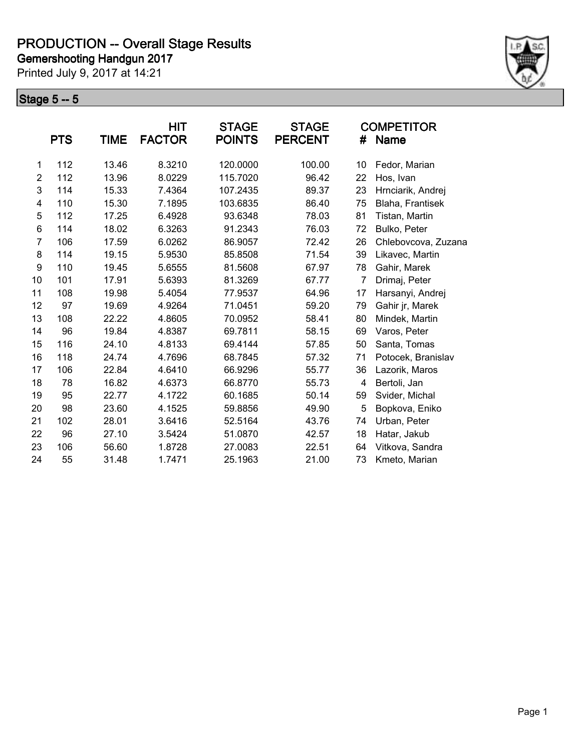Printed July 9, 2017 at 14:21



|                  | <b>PTS</b> | TIME  | <b>HIT</b><br><b>FACTOR</b> | <b>STAGE</b><br><b>POINTS</b> | <b>STAGE</b><br><b>PERCENT</b> | #  | <b>COMPETITOR</b><br><b>Name</b> |
|------------------|------------|-------|-----------------------------|-------------------------------|--------------------------------|----|----------------------------------|
| 1                | 112        | 13.46 | 8.3210                      | 120.0000                      | 100.00                         | 10 | Fedor, Marian                    |
| $\overline{2}$   | 112        | 13.96 | 8.0229                      | 115.7020                      | 96.42                          | 22 | Hos, Ivan                        |
| 3                | 114        | 15.33 | 7.4364                      | 107.2435                      | 89.37                          | 23 | Hrnciarik, Andrej                |
| 4                | 110        | 15.30 | 7.1895                      | 103.6835                      | 86.40                          | 75 | Blaha, Frantisek                 |
| 5                | 112        | 17.25 | 6.4928                      | 93.6348                       | 78.03                          | 81 | Tistan, Martin                   |
| 6                | 114        | 18.02 | 6.3263                      | 91.2343                       | 76.03                          | 72 | Bulko, Peter                     |
| $\overline{7}$   | 106        | 17.59 | 6.0262                      | 86.9057                       | 72.42                          | 26 | Chlebovcova, Zuzana              |
| 8                | 114        | 19.15 | 5.9530                      | 85.8508                       | 71.54                          | 39 | Likavec, Martin                  |
| $\boldsymbol{9}$ | 110        | 19.45 | 5.6555                      | 81.5608                       | 67.97                          | 78 | Gahir, Marek                     |
| 10               | 101        | 17.91 | 5.6393                      | 81.3269                       | 67.77                          | 7  | Drimaj, Peter                    |
| 11               | 108        | 19.98 | 5.4054                      | 77.9537                       | 64.96                          | 17 | Harsanyi, Andrej                 |
| 12               | 97         | 19.69 | 4.9264                      | 71.0451                       | 59.20                          | 79 | Gahir jr, Marek                  |
| 13               | 108        | 22.22 | 4.8605                      | 70.0952                       | 58.41                          | 80 | Mindek, Martin                   |
| 14               | 96         | 19.84 | 4.8387                      | 69.7811                       | 58.15                          | 69 | Varos, Peter                     |
| 15               | 116        | 24.10 | 4.8133                      | 69.4144                       | 57.85                          | 50 | Santa, Tomas                     |
| 16               | 118        | 24.74 | 4.7696                      | 68.7845                       | 57.32                          | 71 | Potocek, Branislav               |
| 17               | 106        | 22.84 | 4.6410                      | 66.9296                       | 55.77                          | 36 | Lazorik, Maros                   |
| 18               | 78         | 16.82 | 4.6373                      | 66.8770                       | 55.73                          | 4  | Bertoli, Jan                     |
| 19               | 95         | 22.77 | 4.1722                      | 60.1685                       | 50.14                          | 59 | Svider, Michal                   |
| 20               | 98         | 23.60 | 4.1525                      | 59.8856                       | 49.90                          | 5  | Bopkova, Eniko                   |
| 21               | 102        | 28.01 | 3.6416                      | 52.5164                       | 43.76                          | 74 | Urban, Peter                     |
| 22               | 96         | 27.10 | 3.5424                      | 51.0870                       | 42.57                          | 18 | Hatar, Jakub                     |
| 23               | 106        | 56.60 | 1.8728                      | 27.0083                       | 22.51                          | 64 | Vitkova, Sandra                  |
| 24               | 55         | 31.48 | 1.7471                      | 25.1963                       | 21.00                          | 73 | Kmeto, Marian                    |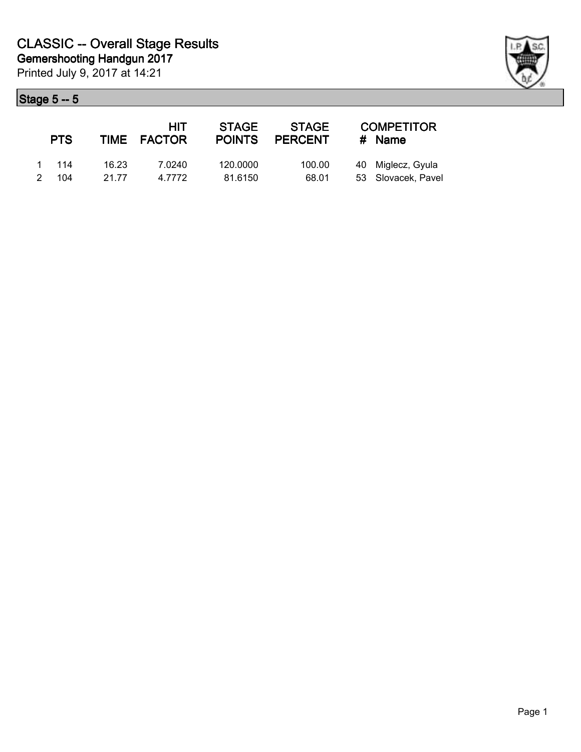| <b>PTS</b> |       | <b>HIT</b><br>TIME FACTOR | <b>STAGE</b> | <b>STAGE</b><br>POINTS PERCENT | <b>COMPETITOR</b><br># Name |
|------------|-------|---------------------------|--------------|--------------------------------|-----------------------------|
| 1 114      | 16.23 | 7.0240                    | 120,0000     | 100.00                         | 40 Miglecz, Gyula           |
| 2 104      | 21.77 | 4.7772                    | 81.6150      | 68.01                          | 53 Slovacek, Pavel          |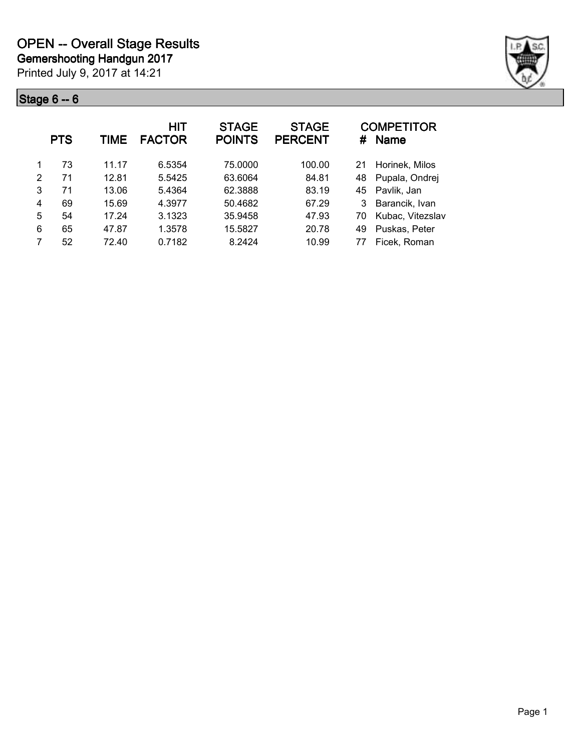

|   | <b>PTS</b> | <b>TIME</b> | HIT<br><b>FACTOR</b> | <b>STAGE</b><br><b>POINTS</b> | <b>STAGE</b><br><b>PERCENT</b> | #  | <b>COMPETITOR</b><br><b>Name</b> |
|---|------------|-------------|----------------------|-------------------------------|--------------------------------|----|----------------------------------|
|   | 73         | 11.17       | 6.5354               | 75,0000                       | 100.00                         | 21 | Horinek, Milos                   |
| 2 | 71         | 12.81       | 5.5425               | 63.6064                       | 84.81                          | 48 | Pupala, Ondrej                   |
| 3 | 71         | 13.06       | 5.4364               | 62.3888                       | 83.19                          | 45 | Pavlik, Jan                      |
| 4 | 69         | 15.69       | 4.3977               | 50.4682                       | 67.29                          |    | Barancik, Ivan                   |
| 5 | 54         | 17.24       | 3.1323               | 35.9458                       | 47.93                          | 70 | Kubac, Vitezslav                 |
| 6 | 65         | 47.87       | 1.3578               | 15.5827                       | 20.78                          | 49 | Puskas, Peter                    |
| 7 | 52         | 72.40       | 0.7182               | 8.2424                        | 10.99                          | 77 | Ficek, Roman                     |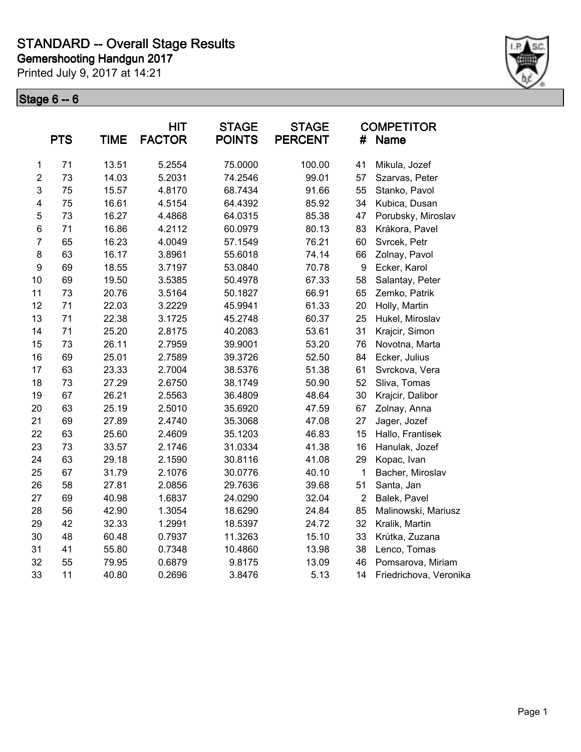Printed July 9, 2017 at 14:21



|                         | <b>PTS</b> | <b>TIME</b> | <b>HIT</b><br><b>FACTOR</b> | <b>STAGE</b><br><b>POINTS</b> | <b>STAGE</b><br><b>PERCENT</b> | #                | <b>COMPETITOR</b><br>Name |
|-------------------------|------------|-------------|-----------------------------|-------------------------------|--------------------------------|------------------|---------------------------|
| 1                       | 71         | 13.51       | 5.2554                      | 75.0000                       | 100.00                         | 41               | Mikula, Jozef             |
| $\overline{2}$          | 73         | 14.03       | 5.2031                      | 74.2546                       | 99.01                          | 57               | Szarvas, Peter            |
| 3                       | 75         | 15.57       | 4.8170                      | 68.7434                       | 91.66                          | 55               | Stanko, Pavol             |
| $\overline{\mathbf{4}}$ | 75         | 16.61       | 4.5154                      | 64.4392                       | 85.92                          | 34               | Kubica, Dusan             |
| 5                       | 73         | 16.27       | 4.4868                      | 64.0315                       | 85.38                          | 47               | Porubsky, Miroslav        |
| 6                       | 71         | 16.86       | 4.2112                      | 60.0979                       | 80.13                          | 83               | Krákora, Pavel            |
| $\overline{7}$          | 65         | 16.23       | 4.0049                      | 57.1549                       | 76.21                          | 60               | Svrcek, Petr              |
| 8                       | 63         | 16.17       | 3.8961                      | 55.6018                       | 74.14                          | 66               | Zolnay, Pavol             |
| $\boldsymbol{9}$        | 69         | 18.55       | 3.7197                      | 53.0840                       | 70.78                          | $\boldsymbol{9}$ | Ecker, Karol              |
| 10                      | 69         | 19.50       | 3.5385                      | 50.4978                       | 67.33                          | 58               | Salantay, Peter           |
| 11                      | 73         | 20.76       | 3.5164                      | 50.1827                       | 66.91                          | 65               | Zemko, Patrik             |
| 12                      | 71         | 22.03       | 3.2229                      | 45.9941                       | 61.33                          | 20               | Holly, Martin             |
| 13                      | 71         | 22.38       | 3.1725                      | 45.2748                       | 60.37                          | 25               | Hukel, Miroslav           |
| 14                      | 71         | 25.20       | 2.8175                      | 40.2083                       | 53.61                          | 31               | Krajcir, Simon            |
| 15                      | 73         | 26.11       | 2.7959                      | 39.9001                       | 53.20                          | 76               | Novotna, Marta            |
| 16                      | 69         | 25.01       | 2.7589                      | 39.3726                       | 52.50                          | 84               | Ecker, Julius             |
| 17                      | 63         | 23.33       | 2.7004                      | 38.5376                       | 51.38                          | 61               | Svrckova, Vera            |
| 18                      | 73         | 27.29       | 2.6750                      | 38.1749                       | 50.90                          | 52               | Sliva, Tomas              |
| 19                      | 67         | 26.21       | 2.5563                      | 36.4809                       | 48.64                          | 30               | Krajcir, Dalibor          |
| 20                      | 63         | 25.19       | 2.5010                      | 35.6920                       | 47.59                          | 67               | Zolnay, Anna              |
| 21                      | 69         | 27.89       | 2.4740                      | 35.3068                       | 47.08                          | 27               | Jager, Jozef              |
| 22                      | 63         | 25.60       | 2.4609                      | 35.1203                       | 46.83                          | 15               | Hallo, Frantisek          |
| 23                      | 73         | 33.57       | 2.1746                      | 31.0334                       | 41.38                          | 16               | Hanulak, Jozef            |
| 24                      | 63         | 29.18       | 2.1590                      | 30.8116                       | 41.08                          | 29               | Kopac, Ivan               |
| 25                      | 67         | 31.79       | 2.1076                      | 30.0776                       | 40.10                          | 1                | Bacher, Miroslav          |
| 26                      | 58         | 27.81       | 2.0856                      | 29.7636                       | 39.68                          | 51               | Santa, Jan                |
| 27                      | 69         | 40.98       | 1.6837                      | 24.0290                       | 32.04                          | $\overline{2}$   | Balek, Pavel              |
| 28                      | 56         | 42.90       | 1.3054                      | 18.6290                       | 24.84                          | 85               | Malinowski, Mariusz       |
| 29                      | 42         | 32.33       | 1.2991                      | 18.5397                       | 24.72                          | 32               | Kralik, Martin            |
| 30                      | 48         | 60.48       | 0.7937                      | 11.3263                       | 15.10                          | 33               | Krútka, Zuzana            |
| 31                      | 41         | 55.80       | 0.7348                      | 10.4860                       | 13.98                          | 38               | Lenco, Tomas              |
| 32                      | 55         | 79.95       | 0.6879                      | 9.8175                        | 13.09                          | 46               | Pomsarova, Miriam         |
| 33                      | 11         | 40.80       | 0.2696                      | 3.8476                        | 5.13                           | 14               | Friedrichova, Veronika    |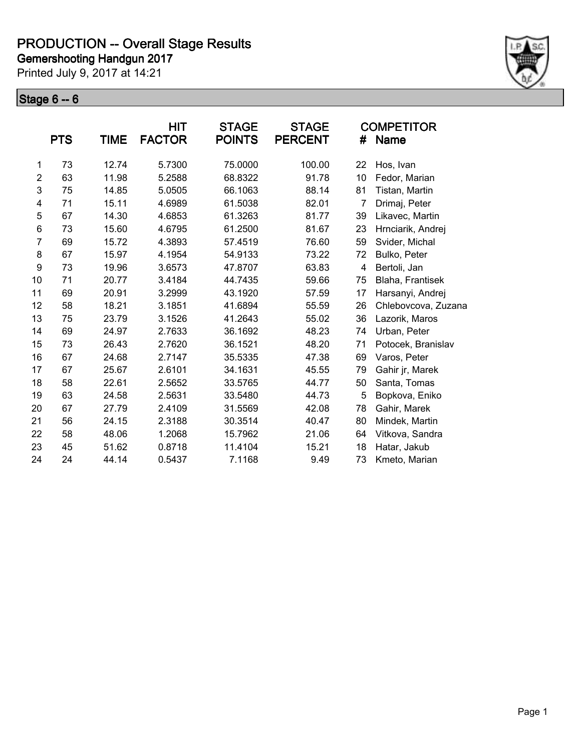Printed July 9, 2017 at 14:21



|                  | <b>PTS</b> | <b>TIME</b> | <b>HIT</b><br><b>FACTOR</b> | <b>STAGE</b><br><b>POINTS</b> | <b>STAGE</b><br><b>PERCENT</b> | #              | <b>COMPETITOR</b><br><b>Name</b> |
|------------------|------------|-------------|-----------------------------|-------------------------------|--------------------------------|----------------|----------------------------------|
| 1                | 73         | 12.74       | 5.7300                      | 75.0000                       | 100.00                         | 22             | Hos, Ivan                        |
| $\overline{2}$   | 63         | 11.98       | 5.2588                      | 68.8322                       | 91.78                          | 10             | Fedor, Marian                    |
| 3                | 75         | 14.85       | 5.0505                      | 66.1063                       | 88.14                          | 81             | Tistan, Martin                   |
| 4                | 71         | 15.11       | 4.6989                      | 61.5038                       | 82.01                          | $\overline{7}$ | Drimaj, Peter                    |
| 5                | 67         | 14.30       | 4.6853                      | 61.3263                       | 81.77                          | 39             | Likavec, Martin                  |
| 6                | 73         | 15.60       | 4.6795                      | 61.2500                       | 81.67                          | 23             | Hrnciarik, Andrej                |
| $\overline{7}$   | 69         | 15.72       | 4.3893                      | 57.4519                       | 76.60                          | 59             | Svider, Michal                   |
| 8                | 67         | 15.97       | 4.1954                      | 54.9133                       | 73.22                          | 72             | Bulko, Peter                     |
| $\boldsymbol{9}$ | 73         | 19.96       | 3.6573                      | 47.8707                       | 63.83                          | 4              | Bertoli, Jan                     |
| 10               | 71         | 20.77       | 3.4184                      | 44.7435                       | 59.66                          | 75             | Blaha, Frantisek                 |
| 11               | 69         | 20.91       | 3.2999                      | 43.1920                       | 57.59                          | 17             | Harsanyi, Andrej                 |
| 12               | 58         | 18.21       | 3.1851                      | 41.6894                       | 55.59                          | 26             | Chlebovcova, Zuzana              |
| 13               | 75         | 23.79       | 3.1526                      | 41.2643                       | 55.02                          | 36             | Lazorik, Maros                   |
| 14               | 69         | 24.97       | 2.7633                      | 36.1692                       | 48.23                          | 74             | Urban, Peter                     |
| 15               | 73         | 26.43       | 2.7620                      | 36.1521                       | 48.20                          | 71             | Potocek, Branislav               |
| 16               | 67         | 24.68       | 2.7147                      | 35.5335                       | 47.38                          | 69             | Varos, Peter                     |
| 17               | 67         | 25.67       | 2.6101                      | 34.1631                       | 45.55                          | 79             | Gahir jr, Marek                  |
| 18               | 58         | 22.61       | 2.5652                      | 33.5765                       | 44.77                          | 50             | Santa, Tomas                     |
| 19               | 63         | 24.58       | 2.5631                      | 33.5480                       | 44.73                          | 5              | Bopkova, Eniko                   |
| 20               | 67         | 27.79       | 2.4109                      | 31.5569                       | 42.08                          | 78             | Gahir, Marek                     |
| 21               | 56         | 24.15       | 2.3188                      | 30.3514                       | 40.47                          | 80             | Mindek, Martin                   |
| 22               | 58         | 48.06       | 1.2068                      | 15.7962                       | 21.06                          | 64             | Vitkova, Sandra                  |
| 23               | 45         | 51.62       | 0.8718                      | 11.4104                       | 15.21                          | 18             | Hatar, Jakub                     |
| 24               | 24         | 44.14       | 0.5437                      | 7.1168                        | 9.49                           | 73             | Kmeto, Marian                    |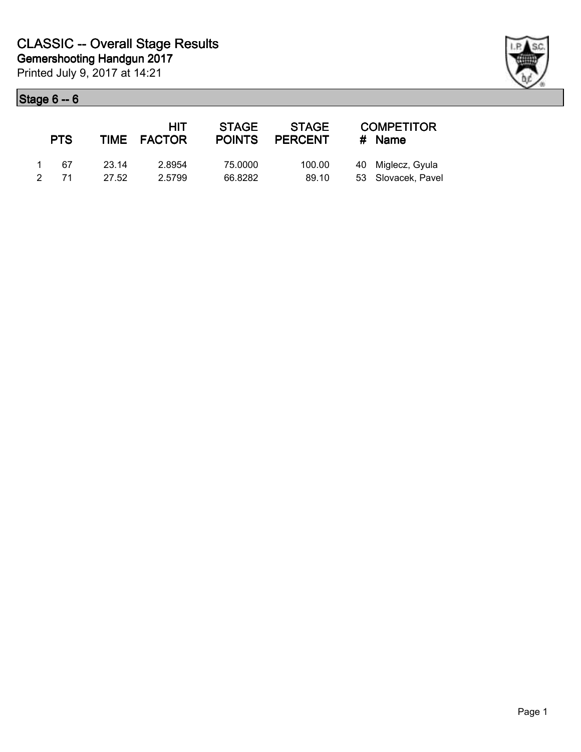|                | <b>PTS</b> |        | HIT<br>TIME FACTOR | <b>STAGE</b> | <b>STAGE</b><br>POINTS PERCENT | <b>COMPETITOR</b><br># Name |
|----------------|------------|--------|--------------------|--------------|--------------------------------|-----------------------------|
| $\overline{1}$ | - 67       | -23.14 | 2.8954             | 75.0000      | 100.00                         | 40 Miglecz, Gyula           |
| $\mathcal{P}$  | 71         | 27.52  | 2.5799             | 66.8282      | 89.10                          | 53 Slovacek, Pavel          |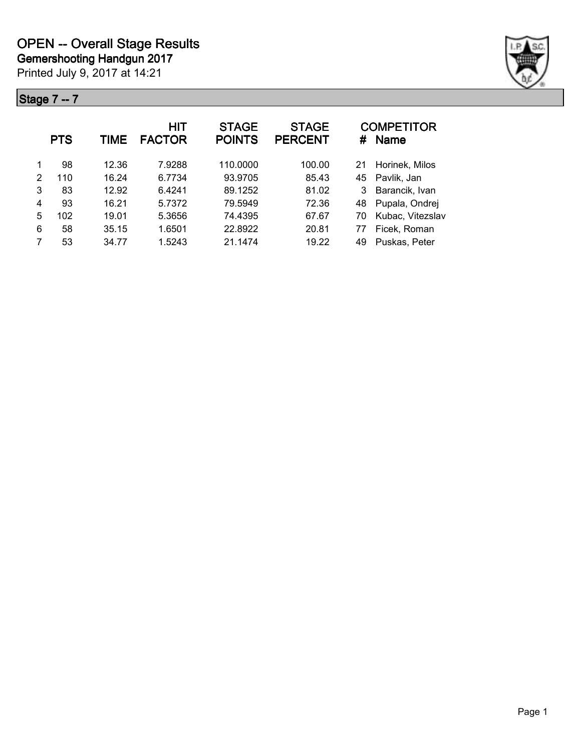

|   | <b>PTS</b> | TIME  | <b>HIT</b><br><b>FACTOR</b> | <b>STAGE</b><br><b>POINTS</b> | <b>STAGE</b><br><b>PERCENT</b> | #  | <b>COMPETITOR</b><br><b>Name</b> |
|---|------------|-------|-----------------------------|-------------------------------|--------------------------------|----|----------------------------------|
|   | 98         | 12.36 | 7.9288                      | 110.0000                      | 100.00                         | 21 | Horinek, Milos                   |
| 2 | 110        | 16.24 | 6.7734                      | 93.9705                       | 85.43                          | 45 | Pavlik, Jan                      |
| 3 | 83         | 12.92 | 6.4241                      | 89.1252                       | 81.02                          | 3  | Barancik, Ivan                   |
| 4 | 93         | 16.21 | 5.7372                      | 79.5949                       | 72.36                          | 48 | Pupala, Ondrej                   |
| 5 | 102        | 19.01 | 5.3656                      | 74.4395                       | 67.67                          | 70 | Kubac, Vitezslav                 |
| 6 | 58         | 35.15 | 1.6501                      | 22.8922                       | 20.81                          | 77 | Ficek, Roman                     |
| 7 | 53         | 34.77 | 1.5243                      | 21.1474                       | 19.22                          | 49 | Puskas, Peter                    |
|   |            |       |                             |                               |                                |    |                                  |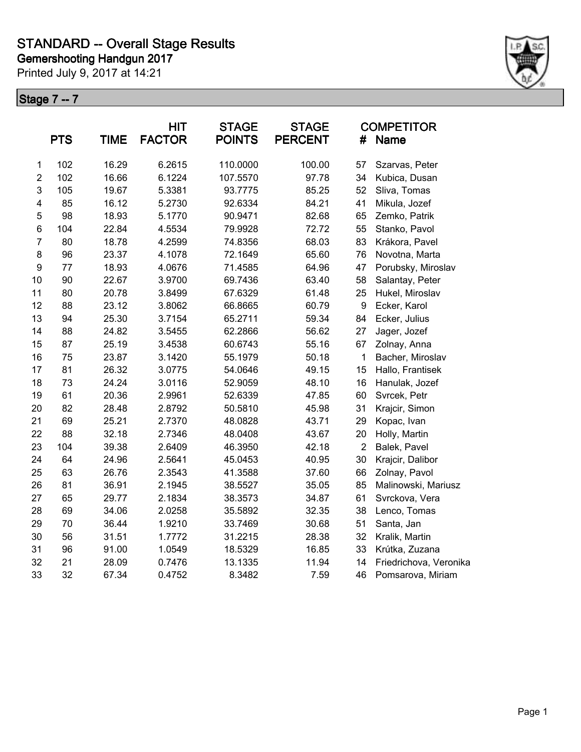Printed July 9, 2017 at 14:21



|                  | <b>PTS</b> | <b>TIME</b> | <b>HIT</b><br><b>FACTOR</b> | <b>STAGE</b><br><b>POINTS</b> | <b>STAGE</b><br><b>PERCENT</b> | #                | <b>COMPETITOR</b><br><b>Name</b> |
|------------------|------------|-------------|-----------------------------|-------------------------------|--------------------------------|------------------|----------------------------------|
| 1                | 102        | 16.29       | 6.2615                      | 110.0000                      | 100.00                         | 57               | Szarvas, Peter                   |
| $\overline{2}$   | 102        | 16.66       | 6.1224                      | 107.5570                      | 97.78                          | 34               | Kubica, Dusan                    |
| 3                | 105        | 19.67       | 5.3381                      | 93.7775                       | 85.25                          | 52               | Sliva, Tomas                     |
| 4                | 85         | 16.12       | 5.2730                      | 92.6334                       | 84.21                          | 41               | Mikula, Jozef                    |
| 5                | 98         | 18.93       | 5.1770                      | 90.9471                       | 82.68                          | 65               | Zemko, Patrik                    |
| 6                | 104        | 22.84       | 4.5534                      | 79.9928                       | 72.72                          | 55               | Stanko, Pavol                    |
| $\overline{7}$   | 80         | 18.78       | 4.2599                      | 74.8356                       | 68.03                          | 83               | Krákora, Pavel                   |
| 8                | 96         | 23.37       | 4.1078                      | 72.1649                       | 65.60                          | 76               | Novotna, Marta                   |
| $\boldsymbol{9}$ | 77         | 18.93       | 4.0676                      | 71.4585                       | 64.96                          | 47               | Porubsky, Miroslav               |
| 10               | 90         | 22.67       | 3.9700                      | 69.7436                       | 63.40                          | 58               | Salantay, Peter                  |
| 11               | 80         | 20.78       | 3.8499                      | 67.6329                       | 61.48                          | 25               | Hukel, Miroslav                  |
| 12               | 88         | 23.12       | 3.8062                      | 66.8665                       | 60.79                          | $\boldsymbol{9}$ | Ecker, Karol                     |
| 13               | 94         | 25.30       | 3.7154                      | 65.2711                       | 59.34                          | 84               | Ecker, Julius                    |
| 14               | 88         | 24.82       | 3.5455                      | 62.2866                       | 56.62                          | 27               | Jager, Jozef                     |
| 15               | 87         | 25.19       | 3.4538                      | 60.6743                       | 55.16                          | 67               | Zolnay, Anna                     |
| 16               | 75         | 23.87       | 3.1420                      | 55.1979                       | 50.18                          | $\mathbf 1$      | Bacher, Miroslav                 |
| 17               | 81         | 26.32       | 3.0775                      | 54.0646                       | 49.15                          | 15               | Hallo, Frantisek                 |
| 18               | 73         | 24.24       | 3.0116                      | 52.9059                       | 48.10                          | 16               | Hanulak, Jozef                   |
| 19               | 61         | 20.36       | 2.9961                      | 52.6339                       | 47.85                          | 60               | Svrcek, Petr                     |
| 20               | 82         | 28.48       | 2.8792                      | 50.5810                       | 45.98                          | 31               | Krajcir, Simon                   |
| 21               | 69         | 25.21       | 2.7370                      | 48.0828                       | 43.71                          | 29               | Kopac, Ivan                      |
| 22               | 88         | 32.18       | 2.7346                      | 48.0408                       | 43.67                          | 20               | Holly, Martin                    |
| 23               | 104        | 39.38       | 2.6409                      | 46.3950                       | 42.18                          | $\overline{2}$   | Balek, Pavel                     |
| 24               | 64         | 24.96       | 2.5641                      | 45.0453                       | 40.95                          | 30               | Krajcir, Dalibor                 |
| 25               | 63         | 26.76       | 2.3543                      | 41.3588                       | 37.60                          | 66               | Zolnay, Pavol                    |
| 26               | 81         | 36.91       | 2.1945                      | 38.5527                       | 35.05                          | 85               | Malinowski, Mariusz              |
| 27               | 65         | 29.77       | 2.1834                      | 38.3573                       | 34.87                          | 61               | Svrckova, Vera                   |
| 28               | 69         | 34.06       | 2.0258                      | 35.5892                       | 32.35                          | 38               | Lenco, Tomas                     |
| 29               | 70         | 36.44       | 1.9210                      | 33.7469                       | 30.68                          | 51               | Santa, Jan                       |
| 30               | 56         | 31.51       | 1.7772                      | 31.2215                       | 28.38                          | 32               | Kralik, Martin                   |
| 31               | 96         | 91.00       | 1.0549                      | 18.5329                       | 16.85                          | 33               | Krútka, Zuzana                   |
| 32               | 21         | 28.09       | 0.7476                      | 13.1335                       | 11.94                          | 14               | Friedrichova, Veronika           |
| 33               | 32         | 67.34       | 0.4752                      | 8.3482                        | 7.59                           | 46               | Pomsarova, Miriam                |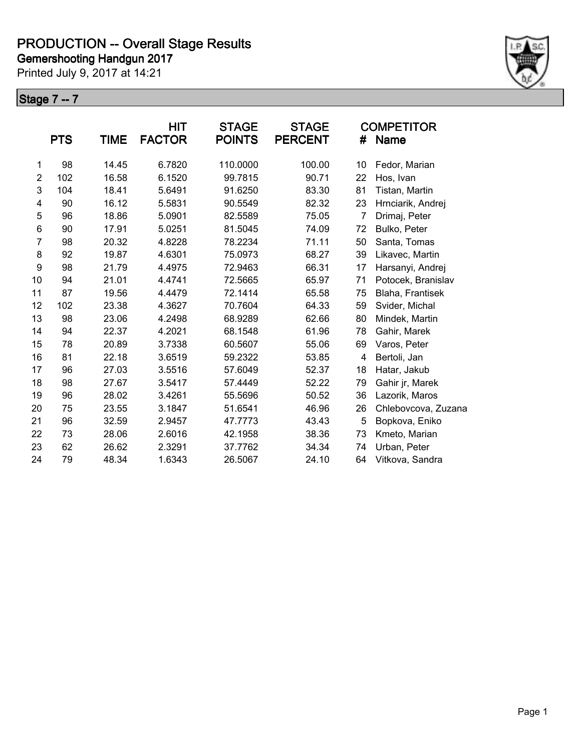Printed July 9, 2017 at 14:21



|                |            |       | <b>HIT</b>    | <b>STAGE</b>  | <b>STAGE</b>   |    | <b>COMPETITOR</b>   |
|----------------|------------|-------|---------------|---------------|----------------|----|---------------------|
|                | <b>PTS</b> | TIME  | <b>FACTOR</b> | <b>POINTS</b> | <b>PERCENT</b> | #  | <b>Name</b>         |
| 1              | 98         | 14.45 | 6.7820        | 110.0000      | 100.00         | 10 | Fedor, Marian       |
| $\overline{2}$ | 102        | 16.58 | 6.1520        | 99.7815       | 90.71          | 22 | Hos, Ivan           |
| 3              | 104        | 18.41 | 5.6491        | 91.6250       | 83.30          | 81 | Tistan, Martin      |
| 4              | 90         | 16.12 | 5.5831        | 90.5549       | 82.32          | 23 | Hrnciarik, Andrej   |
| 5              | 96         | 18.86 | 5.0901        | 82.5589       | 75.05          | 7  | Drimaj, Peter       |
| 6              | 90         | 17.91 | 5.0251        | 81.5045       | 74.09          | 72 | Bulko, Peter        |
| $\overline{7}$ | 98         | 20.32 | 4.8228        | 78.2234       | 71.11          | 50 | Santa, Tomas        |
| 8              | 92         | 19.87 | 4.6301        | 75.0973       | 68.27          | 39 | Likavec, Martin     |
| 9              | 98         | 21.79 | 4.4975        | 72.9463       | 66.31          | 17 | Harsanyi, Andrej    |
| 10             | 94         | 21.01 | 4.4741        | 72.5665       | 65.97          | 71 | Potocek, Branislav  |
| 11             | 87         | 19.56 | 4.4479        | 72.1414       | 65.58          | 75 | Blaha, Frantisek    |
| 12             | 102        | 23.38 | 4.3627        | 70.7604       | 64.33          | 59 | Svider, Michal      |
| 13             | 98         | 23.06 | 4.2498        | 68.9289       | 62.66          | 80 | Mindek, Martin      |
| 14             | 94         | 22.37 | 4.2021        | 68.1548       | 61.96          | 78 | Gahir, Marek        |
| 15             | 78         | 20.89 | 3.7338        | 60.5607       | 55.06          | 69 | Varos, Peter        |
| 16             | 81         | 22.18 | 3.6519        | 59.2322       | 53.85          | 4  | Bertoli, Jan        |
| 17             | 96         | 27.03 | 3.5516        | 57.6049       | 52.37          | 18 | Hatar, Jakub        |
| 18             | 98         | 27.67 | 3.5417        | 57.4449       | 52.22          | 79 | Gahir jr, Marek     |
| 19             | 96         | 28.02 | 3.4261        | 55.5696       | 50.52          | 36 | Lazorik, Maros      |
| 20             | 75         | 23.55 | 3.1847        | 51.6541       | 46.96          | 26 | Chlebovcova, Zuzana |
| 21             | 96         | 32.59 | 2.9457        | 47.7773       | 43.43          | 5  | Bopkova, Eniko      |
| 22             | 73         | 28.06 | 2.6016        | 42.1958       | 38.36          | 73 | Kmeto, Marian       |
| 23             | 62         | 26.62 | 2.3291        | 37.7762       | 34.34          | 74 | Urban, Peter        |
| 24             | 79         | 48.34 | 1.6343        | 26.5067       | 24.10          | 64 | Vitkova, Sandra     |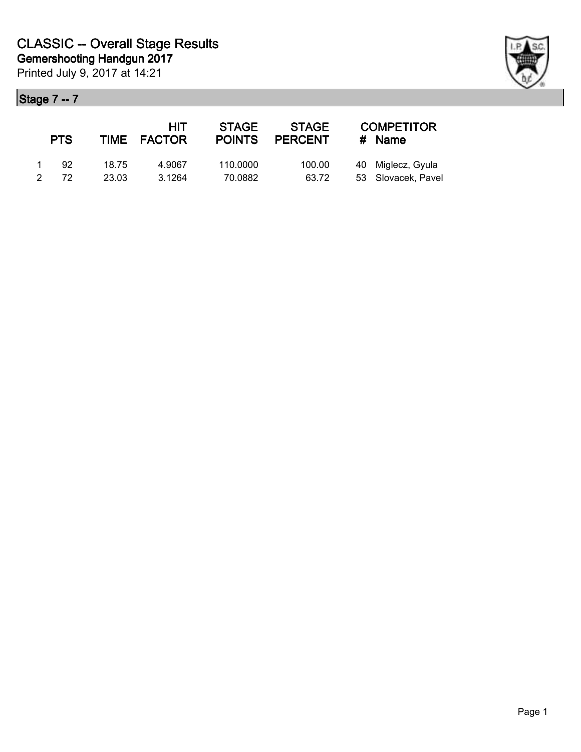|               | <b>PTS</b> |       | HIT<br>TIME FACTOR | <b>STAGE</b> | <b>STAGE</b><br>POINTS PERCENT | <b>COMPETITOR</b><br>$#$ Name |
|---------------|------------|-------|--------------------|--------------|--------------------------------|-------------------------------|
|               | 92         | 18.75 | 4.9067             | 110.0000     | 100.00                         | 40 Miglecz, Gyula             |
| $\mathcal{P}$ | 72         | 23.03 | 3.1264             | 70.0882      | 63.72                          | 53 Slovacek, Pavel            |